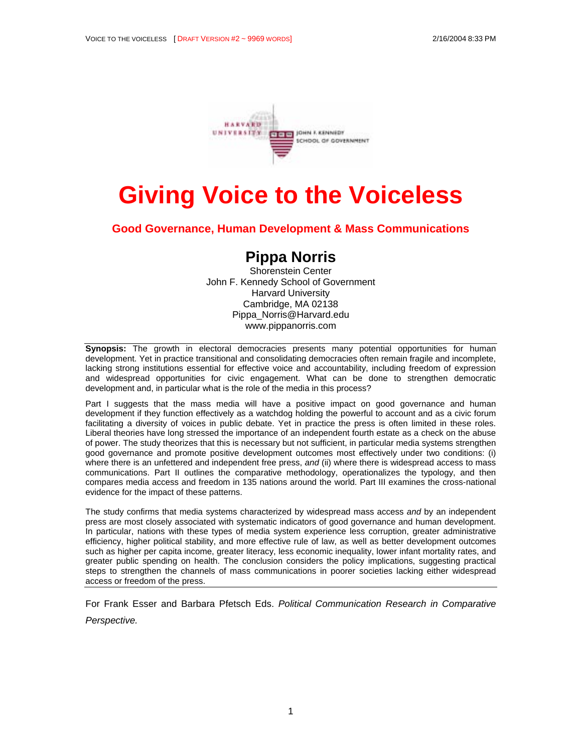

# **Giving Voice to the Voiceless**

**Good Governance, Human Development & Mass Communications**

# **Pippa Norris**

Shorenstein Center John F. Kennedy School of Government Harvard University Cambridge, MA 02138 Pippa\_Norris@Harvard.edu www.pippanorris.com

**Synopsis:** The growth in electoral democracies presents many potential opportunities for human development. Yet in practice transitional and consolidating democracies often remain fragile and incomplete, lacking strong institutions essential for effective voice and accountability, including freedom of expression and widespread opportunities for civic engagement. What can be done to strengthen democratic development and, in particular what is the role of the media in this process?

Part I suggests that the mass media will have a positive impact on good governance and human development if they function effectively as a watchdog holding the powerful to account and as a civic forum facilitating a diversity of voices in public debate. Yet in practice the press is often limited in these roles. Liberal theories have long stressed the importance of an independent fourth estate as a check on the abuse of power. The study theorizes that this is necessary but not sufficient, in particular media systems strengthen good governance and promote positive development outcomes most effectively under two conditions: (i) where there is an unfettered and independent free press, *and* (ii) where there is widespread access to mass communications. Part II outlines the comparative methodology, operationalizes the typology, and then compares media access and freedom in 135 nations around the world. Part III examines the cross-national evidence for the impact of these patterns.

The study confirms that media systems characterized by widespread mass access *and* by an independent press are most closely associated with systematic indicators of good governance and human development. In particular, nations with these types of media system experience less corruption, greater administrative efficiency, higher political stability, and more effective rule of law, as well as better development outcomes such as higher per capita income, greater literacy, less economic inequality, lower infant mortality rates, and greater public spending on health. The conclusion considers the policy implications, suggesting practical steps to strengthen the channels of mass communications in poorer societies lacking either widespread access or freedom of the press.

For Frank Esser and Barbara Pfetsch Eds. *Political Communication Research in Comparative Perspective.*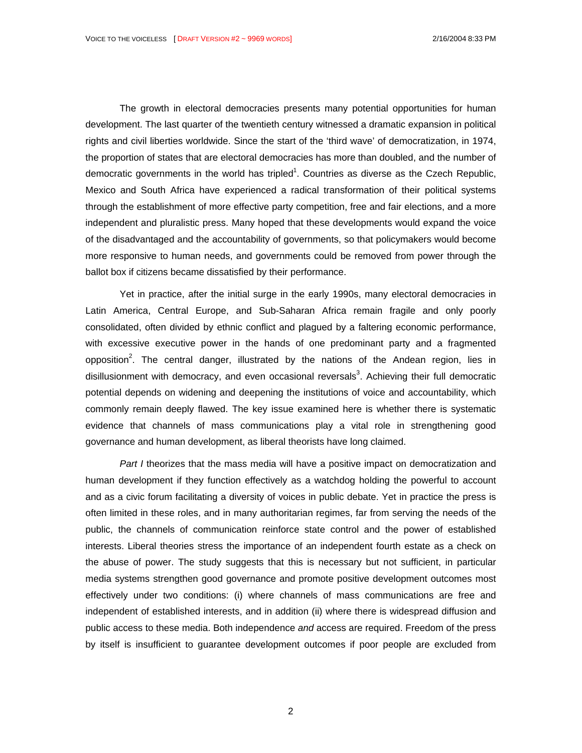The growth in electoral democracies presents many potential opportunities for human development. The last quarter of the twentieth century witnessed a dramatic expansion in political rights and civil liberties worldwide. Since the start of the 'third wave' of democratization, in 1974, the proportion of states that are electoral democracies has more than doubled, and the number of democratic governments in the world has tripled<sup>1</sup>. Countries as diverse as the Czech Republic, Mexico and South Africa have experienced a radical transformation of their political systems through the establishment of more effective party competition, free and fair elections, and a more independent and pluralistic press. Many hoped that these developments would expand the voice of the disadvantaged and the accountability of governments, so that policymakers would become more responsive to human needs, and governments could be removed from power through the ballot box if citizens became dissatisfied by their performance.

Yet in practice, after the initial surge in the early 1990s, many electoral democracies in Latin America, Central Europe, and Sub-Saharan Africa remain fragile and only poorly consolidated, often divided by ethnic conflict and plagued by a faltering economic performance, with excessive executive power in the hands of one predominant party and a fragmented opposition<sup>2</sup>. The central danger, illustrated by the nations of the Andean region, lies in disillusionment with democracy, and even occasional reversals<sup>3</sup>. Achieving their full democratic potential depends on widening and deepening the institutions of voice and accountability, which commonly remain deeply flawed. The key issue examined here is whether there is systematic evidence that channels of mass communications play a vital role in strengthening good governance and human development, as liberal theorists have long claimed.

*Part I* theorizes that the mass media will have a positive impact on democratization and human development if they function effectively as a watchdog holding the powerful to account and as a civic forum facilitating a diversity of voices in public debate. Yet in practice the press is often limited in these roles, and in many authoritarian regimes, far from serving the needs of the public, the channels of communication reinforce state control and the power of established interests. Liberal theories stress the importance of an independent fourth estate as a check on the abuse of power. The study suggests that this is necessary but not sufficient, in particular media systems strengthen good governance and promote positive development outcomes most effectively under two conditions: (i) where channels of mass communications are free and independent of established interests, and in addition (ii) where there is widespread diffusion and public access to these media. Both independence *and* access are required. Freedom of the press by itself is insufficient to guarantee development outcomes if poor people are excluded from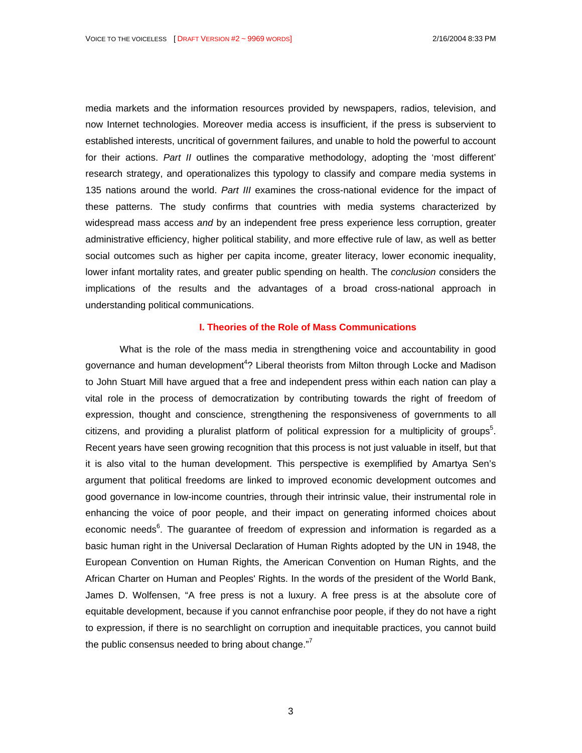media markets and the information resources provided by newspapers, radios, television, and now Internet technologies. Moreover media access is insufficient, if the press is subservient to established interests, uncritical of government failures, and unable to hold the powerful to account for their actions. *Part II* outlines the comparative methodology, adopting the 'most different' research strategy, and operationalizes this typology to classify and compare media systems in 135 nations around the world. *Part III* examines the cross-national evidence for the impact of these patterns. The study confirms that countries with media systems characterized by widespread mass access *and* by an independent free press experience less corruption, greater administrative efficiency, higher political stability, and more effective rule of law, as well as better social outcomes such as higher per capita income, greater literacy, lower economic inequality, lower infant mortality rates, and greater public spending on health. The *conclusion* considers the implications of the results and the advantages of a broad cross-national approach in understanding political communications.

### **I. Theories of the Role of Mass Communications**

What is the role of the mass media in strengthening voice and accountability in good governance and human development<sup>4</sup>? Liberal theorists from Milton through Locke and Madison to John Stuart Mill have argued that a free and independent press within each nation can play a vital role in the process of democratization by contributing towards the right of freedom of expression, thought and conscience, strengthening the responsiveness of governments to all citizens, and providing a pluralist platform of political expression for a multiplicity of groups<sup>5</sup>. Recent years have seen growing recognition that this process is not just valuable in itself, but that it is also vital to the human development. This perspective is exemplified by Amartya Sen's argument that political freedoms are linked to improved economic development outcomes and good governance in low-income countries, through their intrinsic value, their instrumental role in enhancing the voice of poor people, and their impact on generating informed choices about economic needs<sup>6</sup>. The guarantee of freedom of expression and information is regarded as a basic human right in the Universal Declaration of Human Rights adopted by the UN in 1948, the European Convention on Human Rights, the American Convention on Human Rights, and the African Charter on Human and Peoples' Rights. In the words of the president of the World Bank, James D. Wolfensen, "A free press is not a luxury. A free press is at the absolute core of equitable development, because if you cannot enfranchise poor people, if they do not have a right to expression, if there is no searchlight on corruption and inequitable practices, you cannot build the public consensus needed to bring about change."<sup>7</sup>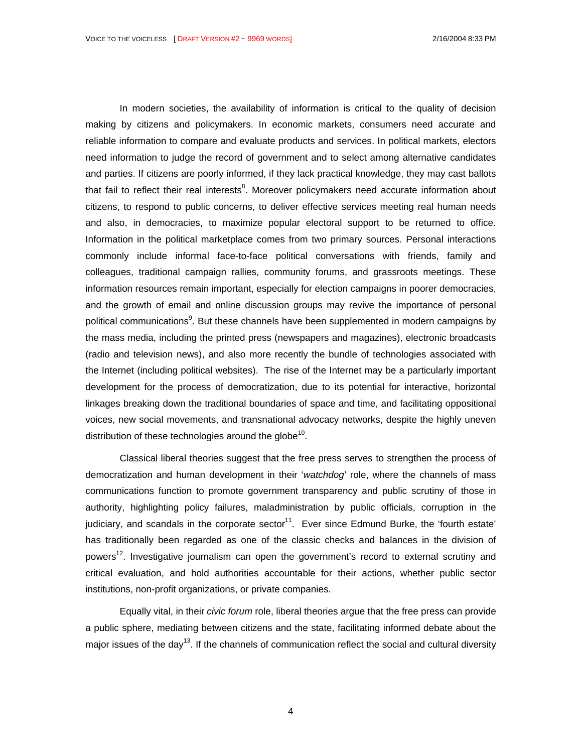In modern societies, the availability of information is critical to the quality of decision making by citizens and policymakers. In economic markets, consumers need accurate and reliable information to compare and evaluate products and services. In political markets, electors need information to judge the record of government and to select among alternative candidates and parties. If citizens are poorly informed, if they lack practical knowledge, they may cast ballots that fail to reflect their real interests<sup>8</sup>. Moreover policymakers need accurate information about citizens, to respond to public concerns, to deliver effective services meeting real human needs and also, in democracies, to maximize popular electoral support to be returned to office. Information in the political marketplace comes from two primary sources. Personal interactions commonly include informal face-to-face political conversations with friends, family and colleagues, traditional campaign rallies, community forums, and grassroots meetings. These information resources remain important, especially for election campaigns in poorer democracies, and the growth of email and online discussion groups may revive the importance of personal political communications<sup>9</sup>. But these channels have been supplemented in modern campaigns by the mass media, including the printed press (newspapers and magazines), electronic broadcasts (radio and television news), and also more recently the bundle of technologies associated with the Internet (including political websites). The rise of the Internet may be a particularly important development for the process of democratization, due to its potential for interactive, horizontal linkages breaking down the traditional boundaries of space and time, and facilitating oppositional voices, new social movements, and transnational advocacy networks, despite the highly uneven distribution of these technologies around the globe $10$ .

Classical liberal theories suggest that the free press serves to strengthen the process of democratization and human development in their '*watchdog*' role, where the channels of mass communications function to promote government transparency and public scrutiny of those in authority, highlighting policy failures, maladministration by public officials, corruption in the judiciary, and scandals in the corporate sector<sup>11</sup>. Ever since Edmund Burke, the 'fourth estate' has traditionally been regarded as one of the classic checks and balances in the division of powers<sup>12</sup>. Investigative journalism can open the government's record to external scrutiny and critical evaluation, and hold authorities accountable for their actions, whether public sector institutions, non-profit organizations, or private companies.

Equally vital, in their *civic forum* role, liberal theories argue that the free press can provide a public sphere, mediating between citizens and the state, facilitating informed debate about the major issues of the day<sup>13</sup>. If the channels of communication reflect the social and cultural diversity

4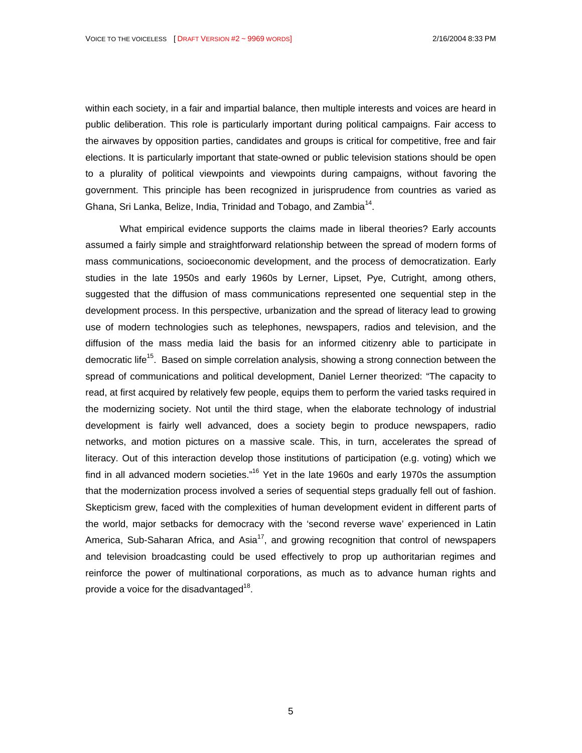within each society, in a fair and impartial balance, then multiple interests and voices are heard in public deliberation. This role is particularly important during political campaigns. Fair access to the airwaves by opposition parties, candidates and groups is critical for competitive, free and fair elections. It is particularly important that state-owned or public television stations should be open to a plurality of political viewpoints and viewpoints during campaigns, without favoring the government. This principle has been recognized in jurisprudence from countries as varied as Ghana, Sri Lanka, Belize, India, Trinidad and Tobago, and Zambia<sup>14</sup>.

What empirical evidence supports the claims made in liberal theories? Early accounts assumed a fairly simple and straightforward relationship between the spread of modern forms of mass communications, socioeconomic development, and the process of democratization. Early studies in the late 1950s and early 1960s by Lerner, Lipset, Pye, Cutright, among others, suggested that the diffusion of mass communications represented one sequential step in the development process. In this perspective, urbanization and the spread of literacy lead to growing use of modern technologies such as telephones, newspapers, radios and television, and the diffusion of the mass media laid the basis for an informed citizenry able to participate in democratic life<sup>15</sup>. Based on simple correlation analysis, showing a strong connection between the spread of communications and political development, Daniel Lerner theorized: "The capacity to read, at first acquired by relatively few people, equips them to perform the varied tasks required in the modernizing society. Not until the third stage, when the elaborate technology of industrial development is fairly well advanced, does a society begin to produce newspapers, radio networks, and motion pictures on a massive scale. This, in turn, accelerates the spread of literacy. Out of this interaction develop those institutions of participation (e.g. voting) which we find in all advanced modern societies."<sup>16</sup> Yet in the late 1960s and early 1970s the assumption that the modernization process involved a series of sequential steps gradually fell out of fashion. Skepticism grew, faced with the complexities of human development evident in different parts of the world, major setbacks for democracy with the 'second reverse wave' experienced in Latin America, Sub-Saharan Africa, and Asia<sup>17</sup>, and growing recognition that control of newspapers and television broadcasting could be used effectively to prop up authoritarian regimes and reinforce the power of multinational corporations, as much as to advance human rights and provide a voice for the disadvantaged<sup>18</sup>.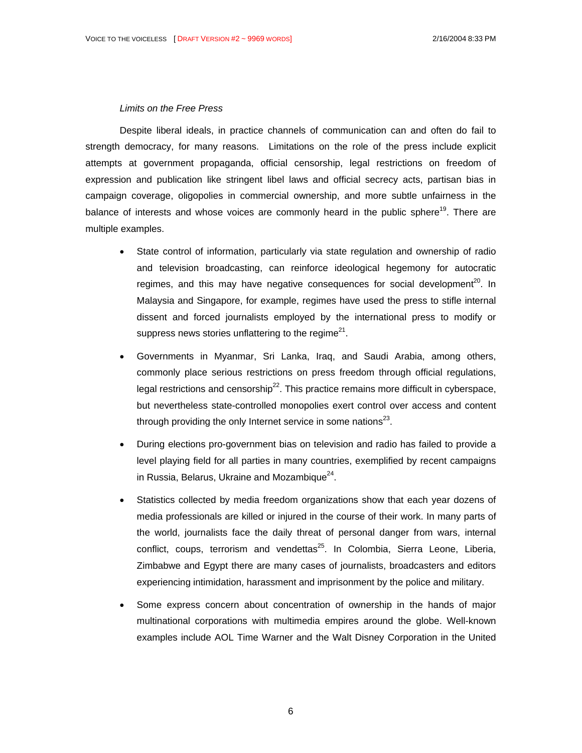#### *Limits on the Free Press*

Despite liberal ideals, in practice channels of communication can and often do fail to strength democracy, for many reasons. Limitations on the role of the press include explicit attempts at government propaganda, official censorship, legal restrictions on freedom of expression and publication like stringent libel laws and official secrecy acts, partisan bias in campaign coverage, oligopolies in commercial ownership, and more subtle unfairness in the balance of interests and whose voices are commonly heard in the public sphere<sup>19</sup>. There are multiple examples.

- State control of information, particularly via state regulation and ownership of radio and television broadcasting, can reinforce ideological hegemony for autocratic regimes, and this may have negative consequences for social development<sup>20</sup>. In Malaysia and Singapore, for example, regimes have used the press to stifle internal dissent and forced journalists employed by the international press to modify or suppress news stories unflattering to the regime<sup>21</sup>.
- Governments in Myanmar, Sri Lanka, Iraq, and Saudi Arabia, among others, commonly place serious restrictions on press freedom through official regulations, legal restrictions and censorship<sup>22</sup>. This practice remains more difficult in cyberspace, but nevertheless state-controlled monopolies exert control over access and content through providing the only Internet service in some nations $^{23}$ .
- During elections pro-government bias on television and radio has failed to provide a level playing field for all parties in many countries, exemplified by recent campaigns in Russia, Belarus, Ukraine and Mozambique $^{24}$ .
- Statistics collected by media freedom organizations show that each year dozens of media professionals are killed or injured in the course of their work. In many parts of the world, journalists face the daily threat of personal danger from wars, internal conflict, coups, terrorism and vendettas $^{25}$ . In Colombia, Sierra Leone, Liberia, Zimbabwe and Egypt there are many cases of journalists, broadcasters and editors experiencing intimidation, harassment and imprisonment by the police and military.
- Some express concern about concentration of ownership in the hands of major multinational corporations with multimedia empires around the globe. Well-known examples include AOL Time Warner and the Walt Disney Corporation in the United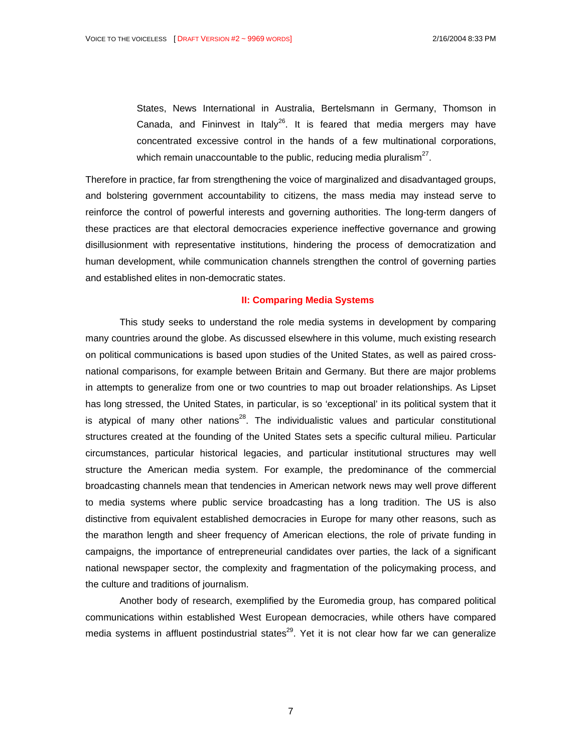States, News International in Australia, Bertelsmann in Germany, Thomson in Canada, and Fininvest in Italy<sup>26</sup>. It is feared that media mergers may have concentrated excessive control in the hands of a few multinational corporations, which remain unaccountable to the public, reducing media pluralism $^{27}$ .

Therefore in practice, far from strengthening the voice of marginalized and disadvantaged groups, and bolstering government accountability to citizens, the mass media may instead serve to reinforce the control of powerful interests and governing authorities. The long-term dangers of these practices are that electoral democracies experience ineffective governance and growing disillusionment with representative institutions, hindering the process of democratization and human development, while communication channels strengthen the control of governing parties and established elites in non-democratic states.

#### **II: Comparing Media Systems**

This study seeks to understand the role media systems in development by comparing many countries around the globe. As discussed elsewhere in this volume, much existing research on political communications is based upon studies of the United States, as well as paired crossnational comparisons, for example between Britain and Germany. But there are major problems in attempts to generalize from one or two countries to map out broader relationships. As Lipset has long stressed, the United States, in particular, is so 'exceptional' in its political system that it is atypical of many other nations<sup>28</sup>. The individualistic values and particular constitutional structures created at the founding of the United States sets a specific cultural milieu. Particular circumstances, particular historical legacies, and particular institutional structures may well structure the American media system. For example, the predominance of the commercial broadcasting channels mean that tendencies in American network news may well prove different to media systems where public service broadcasting has a long tradition. The US is also distinctive from equivalent established democracies in Europe for many other reasons, such as the marathon length and sheer frequency of American elections, the role of private funding in campaigns, the importance of entrepreneurial candidates over parties, the lack of a significant national newspaper sector, the complexity and fragmentation of the policymaking process, and the culture and traditions of journalism.

Another body of research, exemplified by the Euromedia group, has compared political communications within established West European democracies, while others have compared media systems in affluent postindustrial states $^{29}$ . Yet it is not clear how far we can generalize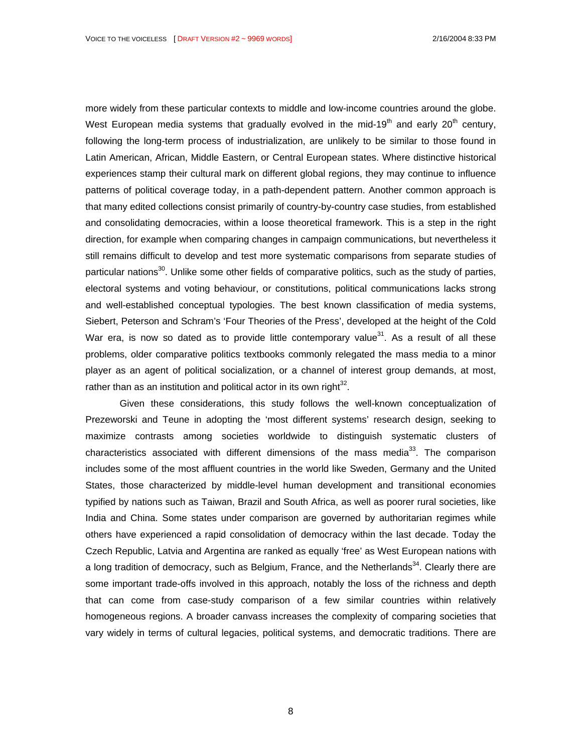more widely from these particular contexts to middle and low-income countries around the globe. West European media systems that gradually evolved in the mid-19<sup>th</sup> and early 20<sup>th</sup> century, following the long-term process of industrialization, are unlikely to be similar to those found in Latin American, African, Middle Eastern, or Central European states. Where distinctive historical experiences stamp their cultural mark on different global regions, they may continue to influence patterns of political coverage today, in a path-dependent pattern. Another common approach is that many edited collections consist primarily of country-by-country case studies, from established and consolidating democracies, within a loose theoretical framework. This is a step in the right direction, for example when comparing changes in campaign communications, but nevertheless it still remains difficult to develop and test more systematic comparisons from separate studies of particular nations<sup>30</sup>. Unlike some other fields of comparative politics, such as the study of parties, electoral systems and voting behaviour, or constitutions, political communications lacks strong and well-established conceptual typologies. The best known classification of media systems, Siebert, Peterson and Schram's 'Four Theories of the Press', developed at the height of the Cold War era, is now so dated as to provide little contemporary value $31$ . As a result of all these problems, older comparative politics textbooks commonly relegated the mass media to a minor player as an agent of political socialization, or a channel of interest group demands, at most, rather than as an institution and political actor in its own right $^{32}$ .

Given these considerations, this study follows the well-known conceptualization of Prezeworski and Teune in adopting the 'most different systems' research design, seeking to maximize contrasts among societies worldwide to distinguish systematic clusters of characteristics associated with different dimensions of the mass media $33$ . The comparison includes some of the most affluent countries in the world like Sweden, Germany and the United States, those characterized by middle-level human development and transitional economies typified by nations such as Taiwan, Brazil and South Africa, as well as poorer rural societies, like India and China. Some states under comparison are governed by authoritarian regimes while others have experienced a rapid consolidation of democracy within the last decade. Today the Czech Republic, Latvia and Argentina are ranked as equally 'free' as West European nations with a long tradition of democracy, such as Belgium, France, and the Netherlands<sup>34</sup>. Clearly there are some important trade-offs involved in this approach, notably the loss of the richness and depth that can come from case-study comparison of a few similar countries within relatively homogeneous regions. A broader canvass increases the complexity of comparing societies that vary widely in terms of cultural legacies, political systems, and democratic traditions. There are

8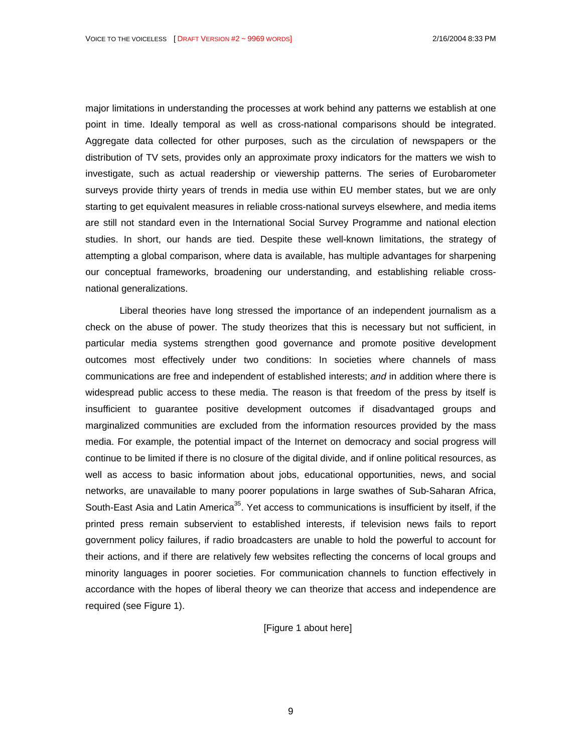major limitations in understanding the processes at work behind any patterns we establish at one point in time. Ideally temporal as well as cross-national comparisons should be integrated. Aggregate data collected for other purposes, such as the circulation of newspapers or the distribution of TV sets, provides only an approximate proxy indicators for the matters we wish to investigate, such as actual readership or viewership patterns. The series of Eurobarometer surveys provide thirty years of trends in media use within EU member states, but we are only starting to get equivalent measures in reliable cross-national surveys elsewhere, and media items are still not standard even in the International Social Survey Programme and national election studies. In short, our hands are tied. Despite these well-known limitations, the strategy of attempting a global comparison, where data is available, has multiple advantages for sharpening our conceptual frameworks, broadening our understanding, and establishing reliable crossnational generalizations.

Liberal theories have long stressed the importance of an independent journalism as a check on the abuse of power. The study theorizes that this is necessary but not sufficient, in particular media systems strengthen good governance and promote positive development outcomes most effectively under two conditions: In societies where channels of mass communications are free and independent of established interests; *and* in addition where there is widespread public access to these media. The reason is that freedom of the press by itself is insufficient to guarantee positive development outcomes if disadvantaged groups and marginalized communities are excluded from the information resources provided by the mass media. For example, the potential impact of the Internet on democracy and social progress will continue to be limited if there is no closure of the digital divide, and if online political resources, as well as access to basic information about jobs, educational opportunities, news, and social networks, are unavailable to many poorer populations in large swathes of Sub-Saharan Africa, South-East Asia and Latin America<sup>35</sup>. Yet access to communications is insufficient by itself, if the printed press remain subservient to established interests, if television news fails to report government policy failures, if radio broadcasters are unable to hold the powerful to account for their actions, and if there are relatively few websites reflecting the concerns of local groups and minority languages in poorer societies. For communication channels to function effectively in accordance with the hopes of liberal theory we can theorize that access and independence are required (see Figure 1).

[Figure 1 about here]

9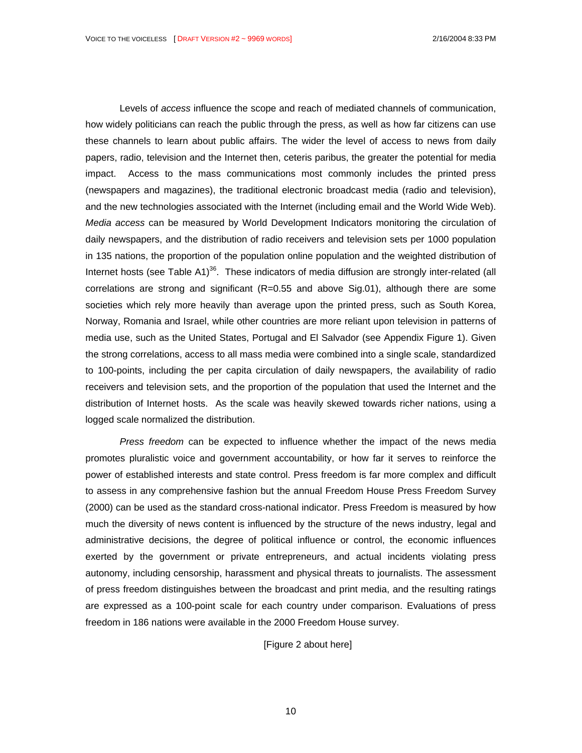Levels of *access* influence the scope and reach of mediated channels of communication, how widely politicians can reach the public through the press, as well as how far citizens can use these channels to learn about public affairs. The wider the level of access to news from daily papers, radio, television and the Internet then, ceteris paribus, the greater the potential for media impact. Access to the mass communications most commonly includes the printed press (newspapers and magazines), the traditional electronic broadcast media (radio and television), and the new technologies associated with the Internet (including email and the World Wide Web). *Media access* can be measured by World Development Indicators monitoring the circulation of daily newspapers, and the distribution of radio receivers and television sets per 1000 population in 135 nations, the proportion of the population online population and the weighted distribution of Internet hosts (see Table A1)<sup>36</sup>. These indicators of media diffusion are strongly inter-related (all correlations are strong and significant (R=0.55 and above Sig.01), although there are some societies which rely more heavily than average upon the printed press, such as South Korea, Norway, Romania and Israel, while other countries are more reliant upon television in patterns of media use, such as the United States, Portugal and El Salvador (see Appendix Figure 1). Given the strong correlations, access to all mass media were combined into a single scale, standardized to 100-points, including the per capita circulation of daily newspapers, the availability of radio receivers and television sets, and the proportion of the population that used the Internet and the distribution of Internet hosts. As the scale was heavily skewed towards richer nations, using a logged scale normalized the distribution.

*Press freedom* can be expected to influence whether the impact of the news media promotes pluralistic voice and government accountability, or how far it serves to reinforce the power of established interests and state control. Press freedom is far more complex and difficult to assess in any comprehensive fashion but the annual Freedom House Press Freedom Survey (2000) can be used as the standard cross-national indicator. Press Freedom is measured by how much the diversity of news content is influenced by the structure of the news industry, legal and administrative decisions, the degree of political influence or control, the economic influences exerted by the government or private entrepreneurs, and actual incidents violating press autonomy, including censorship, harassment and physical threats to journalists. The assessment of press freedom distinguishes between the broadcast and print media, and the resulting ratings are expressed as a 100-point scale for each country under comparison. Evaluations of press freedom in 186 nations were available in the 2000 Freedom House survey.

[Figure 2 about here]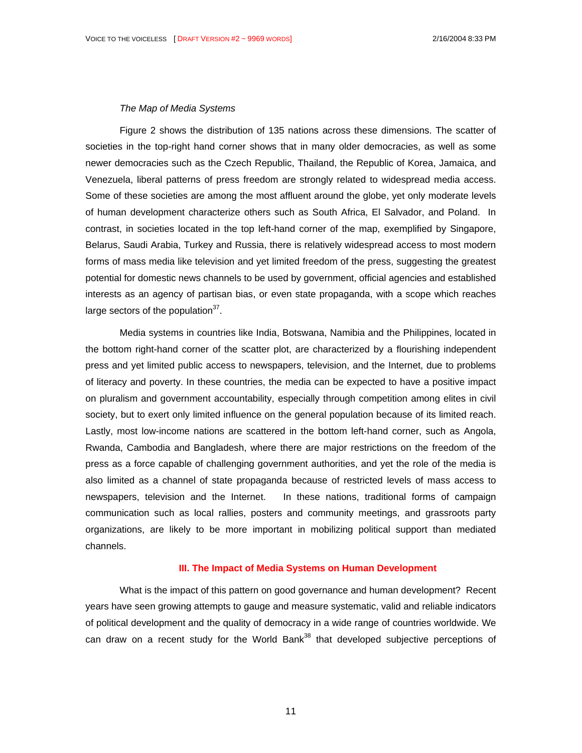#### *The Map of Media Systems*

Figure 2 shows the distribution of 135 nations across these dimensions. The scatter of societies in the top-right hand corner shows that in many older democracies, as well as some newer democracies such as the Czech Republic, Thailand, the Republic of Korea, Jamaica, and Venezuela, liberal patterns of press freedom are strongly related to widespread media access. Some of these societies are among the most affluent around the globe, yet only moderate levels of human development characterize others such as South Africa, El Salvador, and Poland. In contrast, in societies located in the top left-hand corner of the map, exemplified by Singapore, Belarus, Saudi Arabia, Turkey and Russia, there is relatively widespread access to most modern forms of mass media like television and yet limited freedom of the press, suggesting the greatest potential for domestic news channels to be used by government, official agencies and established interests as an agency of partisan bias, or even state propaganda, with a scope which reaches large sectors of the population $37$ .

Media systems in countries like India, Botswana, Namibia and the Philippines, located in the bottom right-hand corner of the scatter plot, are characterized by a flourishing independent press and yet limited public access to newspapers, television, and the Internet, due to problems of literacy and poverty. In these countries, the media can be expected to have a positive impact on pluralism and government accountability, especially through competition among elites in civil society, but to exert only limited influence on the general population because of its limited reach. Lastly, most low-income nations are scattered in the bottom left-hand corner, such as Angola, Rwanda, Cambodia and Bangladesh, where there are major restrictions on the freedom of the press as a force capable of challenging government authorities, and yet the role of the media is also limited as a channel of state propaganda because of restricted levels of mass access to newspapers, television and the Internet. In these nations, traditional forms of campaign communication such as local rallies, posters and community meetings, and grassroots party organizations, are likely to be more important in mobilizing political support than mediated channels.

### **III. The Impact of Media Systems on Human Development**

What is the impact of this pattern on good governance and human development? Recent years have seen growing attempts to gauge and measure systematic, valid and reliable indicators of political development and the quality of democracy in a wide range of countries worldwide. We can draw on a recent study for the World Bank<sup>38</sup> that developed subjective perceptions of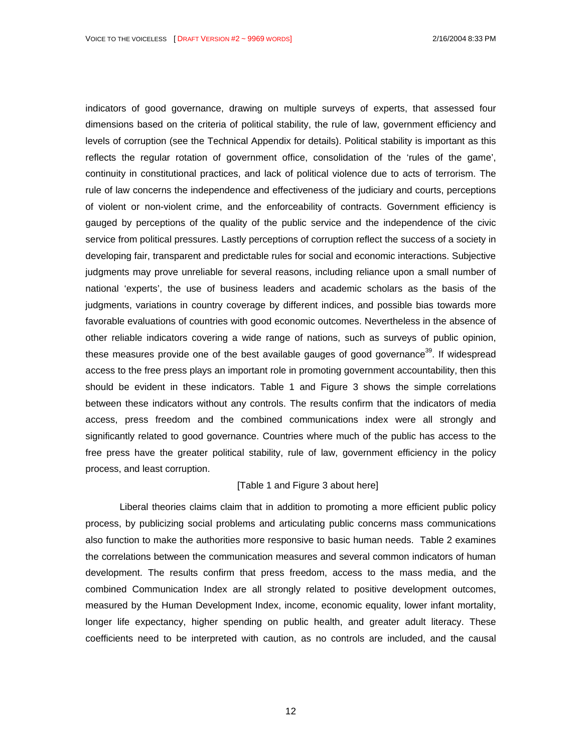indicators of good governance, drawing on multiple surveys of experts, that assessed four dimensions based on the criteria of political stability, the rule of law, government efficiency and levels of corruption (see the Technical Appendix for details). Political stability is important as this reflects the regular rotation of government office, consolidation of the 'rules of the game', continuity in constitutional practices, and lack of political violence due to acts of terrorism. The rule of law concerns the independence and effectiveness of the judiciary and courts, perceptions of violent or non-violent crime, and the enforceability of contracts. Government efficiency is gauged by perceptions of the quality of the public service and the independence of the civic service from political pressures. Lastly perceptions of corruption reflect the success of a society in developing fair, transparent and predictable rules for social and economic interactions. Subjective judgments may prove unreliable for several reasons, including reliance upon a small number of national 'experts', the use of business leaders and academic scholars as the basis of the judgments, variations in country coverage by different indices, and possible bias towards more favorable evaluations of countries with good economic outcomes. Nevertheless in the absence of other reliable indicators covering a wide range of nations, such as surveys of public opinion, these measures provide one of the best available gauges of good governance<sup>39</sup>. If widespread access to the free press plays an important role in promoting government accountability, then this should be evident in these indicators. Table 1 and Figure 3 shows the simple correlations between these indicators without any controls. The results confirm that the indicators of media access, press freedom and the combined communications index were all strongly and significantly related to good governance. Countries where much of the public has access to the free press have the greater political stability, rule of law, government efficiency in the policy process, and least corruption.

### [Table 1 and Figure 3 about here]

Liberal theories claims claim that in addition to promoting a more efficient public policy process, by publicizing social problems and articulating public concerns mass communications also function to make the authorities more responsive to basic human needs. Table 2 examines the correlations between the communication measures and several common indicators of human development. The results confirm that press freedom, access to the mass media, and the combined Communication Index are all strongly related to positive development outcomes, measured by the Human Development Index, income, economic equality, lower infant mortality, longer life expectancy, higher spending on public health, and greater adult literacy. These coefficients need to be interpreted with caution, as no controls are included, and the causal

12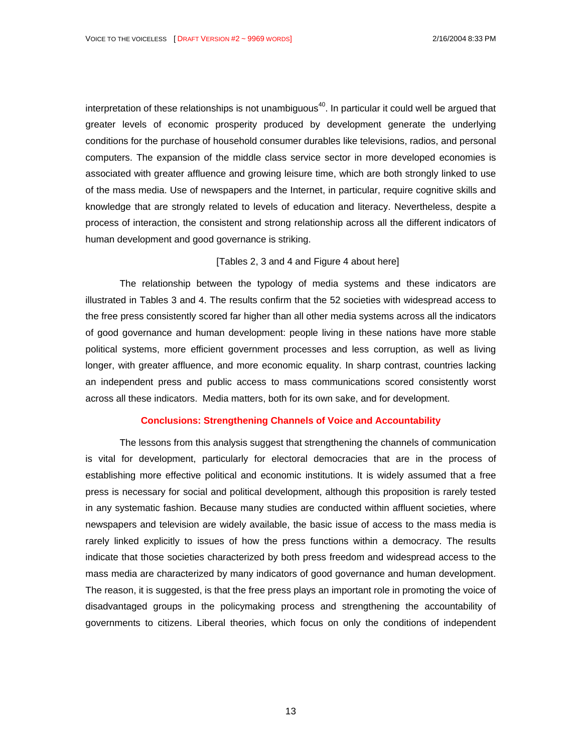interpretation of these relationships is not unambiguous<sup>40</sup>. In particular it could well be argued that greater levels of economic prosperity produced by development generate the underlying conditions for the purchase of household consumer durables like televisions, radios, and personal computers. The expansion of the middle class service sector in more developed economies is associated with greater affluence and growing leisure time, which are both strongly linked to use of the mass media. Use of newspapers and the Internet, in particular, require cognitive skills and knowledge that are strongly related to levels of education and literacy. Nevertheless, despite a process of interaction, the consistent and strong relationship across all the different indicators of human development and good governance is striking.

### [Tables 2, 3 and 4 and Figure 4 about here]

The relationship between the typology of media systems and these indicators are illustrated in Tables 3 and 4. The results confirm that the 52 societies with widespread access to the free press consistently scored far higher than all other media systems across all the indicators of good governance and human development: people living in these nations have more stable political systems, more efficient government processes and less corruption, as well as living longer, with greater affluence, and more economic equality. In sharp contrast, countries lacking an independent press and public access to mass communications scored consistently worst across all these indicators. Media matters, both for its own sake, and for development.

### **Conclusions: Strengthening Channels of Voice and Accountability**

The lessons from this analysis suggest that strengthening the channels of communication is vital for development, particularly for electoral democracies that are in the process of establishing more effective political and economic institutions. It is widely assumed that a free press is necessary for social and political development, although this proposition is rarely tested in any systematic fashion. Because many studies are conducted within affluent societies, where newspapers and television are widely available, the basic issue of access to the mass media is rarely linked explicitly to issues of how the press functions within a democracy. The results indicate that those societies characterized by both press freedom and widespread access to the mass media are characterized by many indicators of good governance and human development. The reason, it is suggested, is that the free press plays an important role in promoting the voice of disadvantaged groups in the policymaking process and strengthening the accountability of governments to citizens. Liberal theories, which focus on only the conditions of independent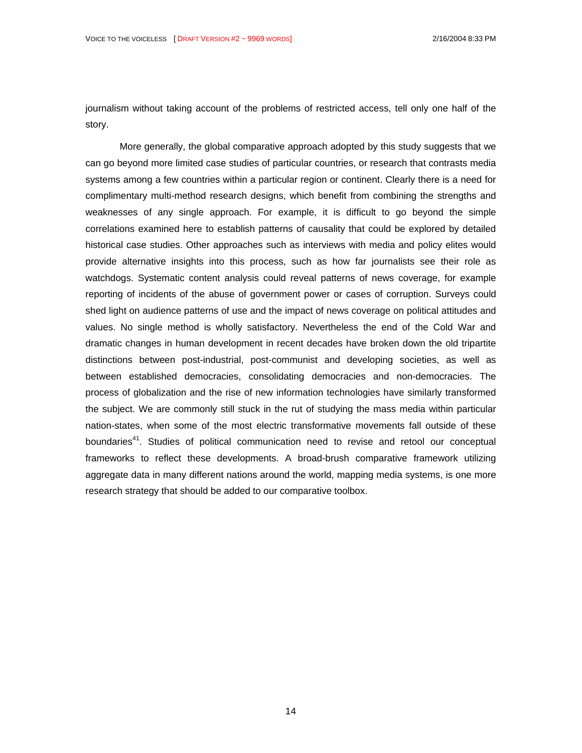journalism without taking account of the problems of restricted access, tell only one half of the story.

More generally, the global comparative approach adopted by this study suggests that we can go beyond more limited case studies of particular countries, or research that contrasts media systems among a few countries within a particular region or continent. Clearly there is a need for complimentary multi-method research designs, which benefit from combining the strengths and weaknesses of any single approach. For example, it is difficult to go beyond the simple correlations examined here to establish patterns of causality that could be explored by detailed historical case studies. Other approaches such as interviews with media and policy elites would provide alternative insights into this process, such as how far journalists see their role as watchdogs. Systematic content analysis could reveal patterns of news coverage, for example reporting of incidents of the abuse of government power or cases of corruption. Surveys could shed light on audience patterns of use and the impact of news coverage on political attitudes and values. No single method is wholly satisfactory. Nevertheless the end of the Cold War and dramatic changes in human development in recent decades have broken down the old tripartite distinctions between post-industrial, post-communist and developing societies, as well as between established democracies, consolidating democracies and non-democracies. The process of globalization and the rise of new information technologies have similarly transformed the subject. We are commonly still stuck in the rut of studying the mass media within particular nation-states, when some of the most electric transformative movements fall outside of these boundaries<sup>41</sup>. Studies of political communication need to revise and retool our conceptual frameworks to reflect these developments. A broad-brush comparative framework utilizing aggregate data in many different nations around the world, mapping media systems, is one more research strategy that should be added to our comparative toolbox.

14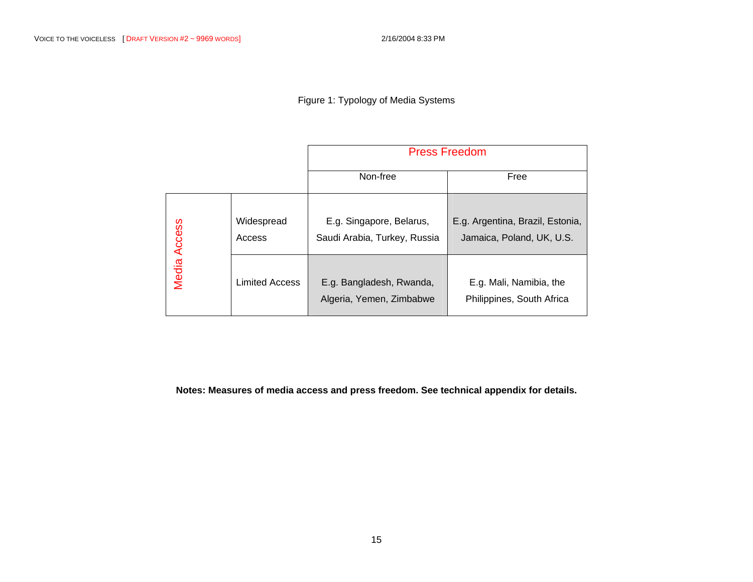# Figure 1: Typology of Media Systems

|              |                       | <b>Press Freedom</b>                                     |                                                               |  |  |  |  |
|--------------|-----------------------|----------------------------------------------------------|---------------------------------------------------------------|--|--|--|--|
|              |                       | Non-free                                                 | Free                                                          |  |  |  |  |
|              | Widespread<br>Access  | E.g. Singapore, Belarus,<br>Saudi Arabia, Turkey, Russia | E.g. Argentina, Brazil, Estonia,<br>Jamaica, Poland, UK, U.S. |  |  |  |  |
| Media Access | <b>Limited Access</b> | E.g. Bangladesh, Rwanda,<br>Algeria, Yemen, Zimbabwe     | E.g. Mali, Namibia, the<br>Philippines, South Africa          |  |  |  |  |

**Notes: Measures of media access and press freedom. See technical appendix for details.**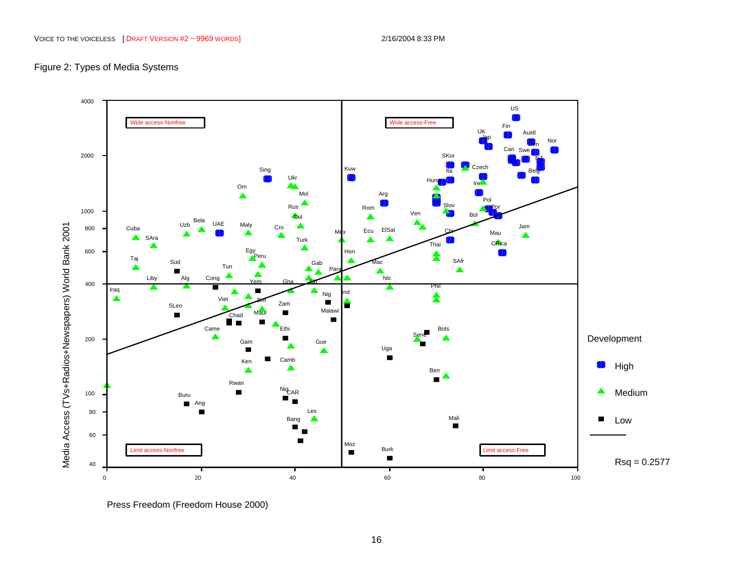# Figure 2: Types of Media Systems



Press Freedom (Freedom House 2000)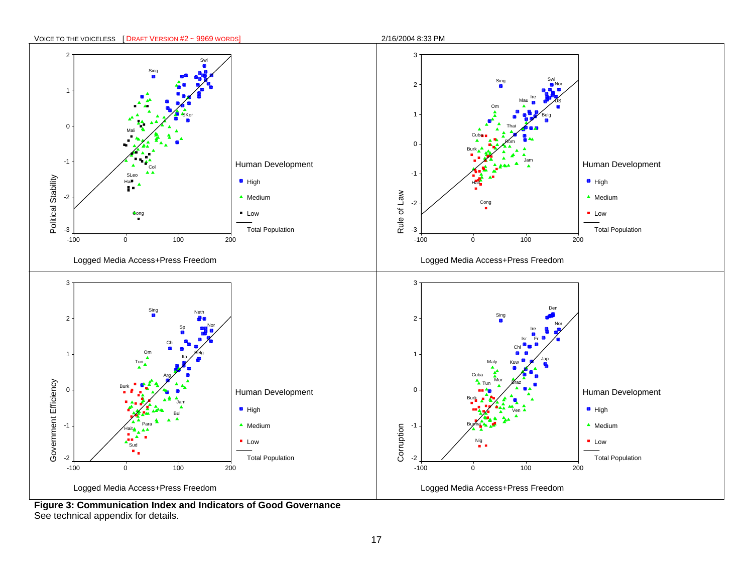

**Figure 3: Communication Index and Indicators of Good Governance**  See technical appendix for details.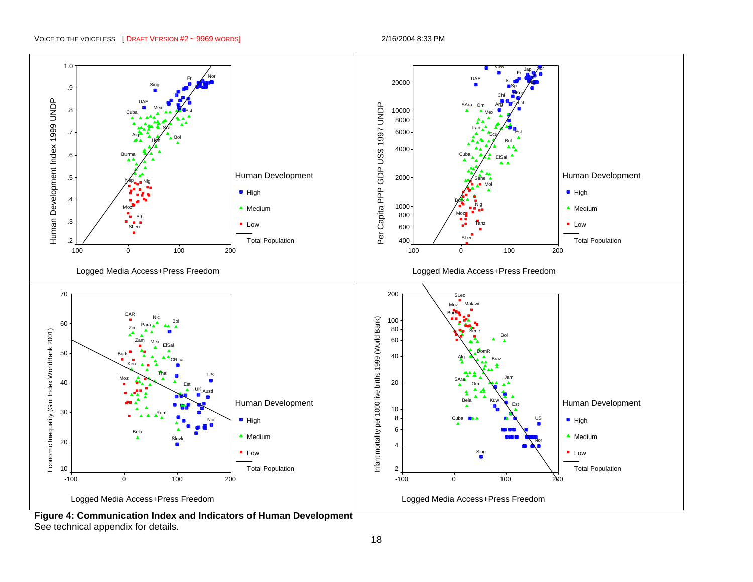

**Figure 4: Communication Index and Indicators of Human Development**  See technical appendix for details.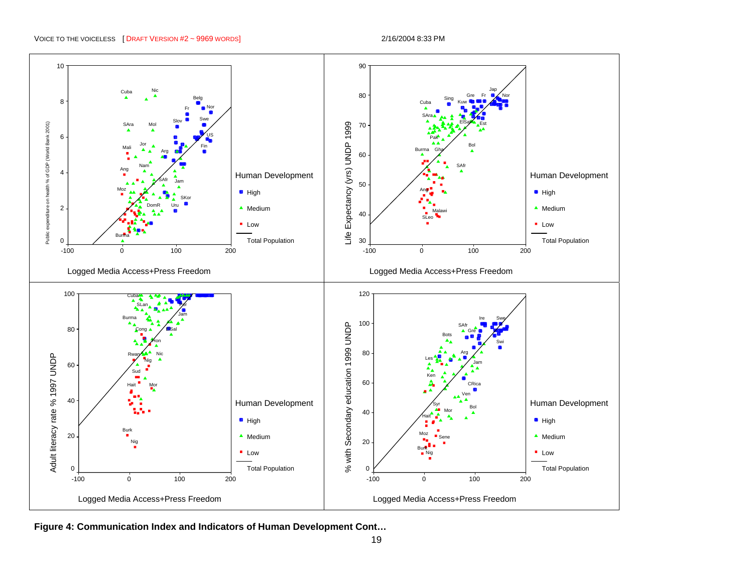

**Figure 4: Communication Index and Indicators of Human Development Cont…**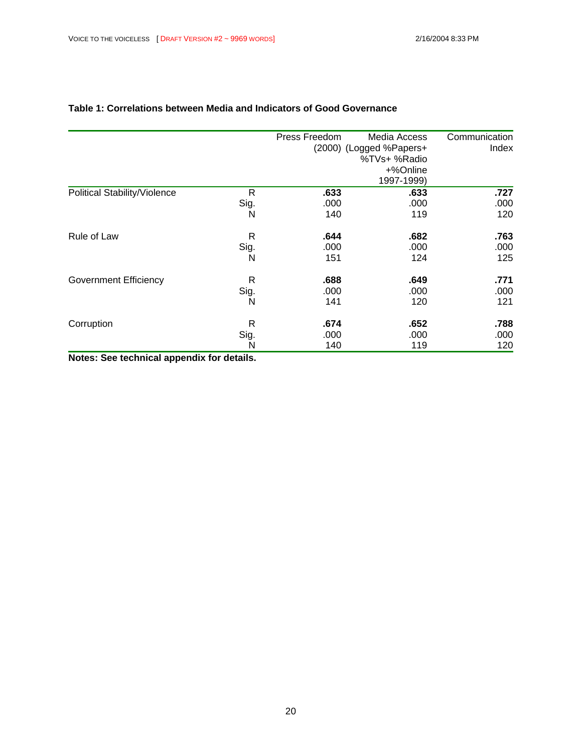|                              |              | Press Freedom | Media Access            | Communication |
|------------------------------|--------------|---------------|-------------------------|---------------|
|                              |              |               | (2000) (Logged %Papers+ | Index         |
|                              |              |               | %TVs+ %Radio            |               |
|                              |              |               | +%Online                |               |
|                              |              |               | 1997-1999)              |               |
| Political Stability/Violence | $\mathsf{R}$ | .633          | .633                    | .727          |
|                              | Sig.         | .000          | .000                    | .000          |
|                              | N            | 140           | 119                     | 120           |
| Rule of Law                  | R            | .644          | .682                    | .763          |
|                              | Sig.         | .000          | .000                    | .000          |
|                              | N            | 151           | 124                     | 125           |
| <b>Government Efficiency</b> | R            | .688          | .649                    | .771          |
|                              | Sig.         | .000          | .000                    | .000          |
|                              | N            | 141           | 120                     | 121           |
| Corruption                   | R            | .674          | .652                    | .788          |
|                              | Sig.         | .000          | .000                    | .000          |
|                              | N            | 140           | 119                     | 120           |

### **Table 1: Correlations between Media and Indicators of Good Governance**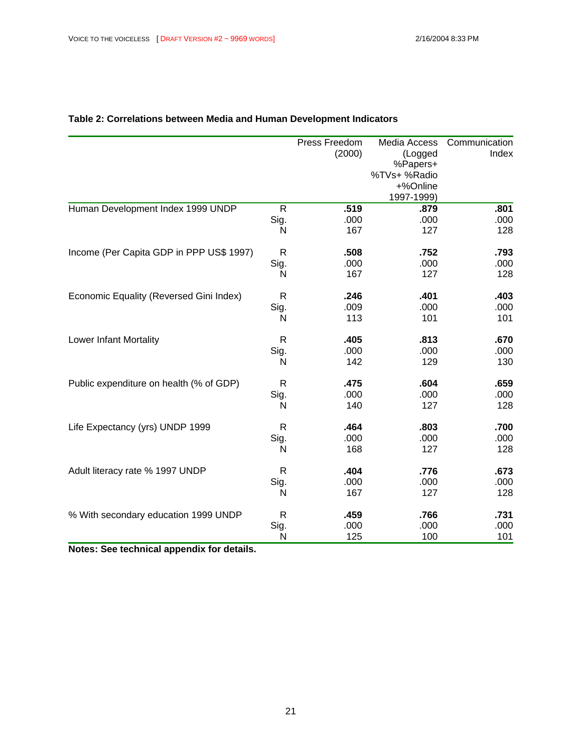|                                          |              | Press Freedom | Media Access        | Communication |
|------------------------------------------|--------------|---------------|---------------------|---------------|
|                                          |              | (2000)        | (Logged<br>%Papers+ | Index         |
|                                          |              |               | %TVs+ %Radio        |               |
|                                          |              |               | +%Online            |               |
|                                          |              |               | 1997-1999)          |               |
| Human Development Index 1999 UNDP        | $\mathsf{R}$ | .519          | .879                | .801          |
|                                          | Sig.         | .000          | .000                | .000          |
|                                          | $\mathsf{N}$ | 167           | 127                 | 128           |
| Income (Per Capita GDP in PPP US\$ 1997) | ${\sf R}$    | .508          | .752                | .793          |
|                                          | Sig.         | .000          | .000                | .000          |
|                                          | $\mathsf{N}$ | 167           | 127                 | 128           |
| Economic Equality (Reversed Gini Index)  | ${\sf R}$    | .246          | .401                | .403          |
|                                          | Sig.         | .009          | .000                | .000          |
|                                          | $\mathsf{N}$ | 113           | 101                 | 101           |
| <b>Lower Infant Mortality</b>            | $\mathsf{R}$ | .405          | .813                | .670          |
|                                          | Sig.         | .000          | .000                | .000          |
|                                          | ${\sf N}$    | 142           | 129                 | 130           |
| Public expenditure on health (% of GDP)  | $\mathsf{R}$ | .475          | .604                | .659          |
|                                          | Sig.         | .000          | .000                | .000          |
|                                          | $\mathsf{N}$ | 140           | 127                 | 128           |
| Life Expectancy (yrs) UNDP 1999          | $\mathsf{R}$ | .464          | .803                | .700          |
|                                          | Sig.         | .000          | .000                | .000          |
|                                          | $\mathsf{N}$ | 168           | 127                 | 128           |
| Adult literacy rate % 1997 UNDP          | $\mathsf{R}$ | .404          | .776                | .673          |
|                                          | Sig.         | .000          | .000                | .000          |
|                                          | $\mathsf{N}$ | 167           | 127                 | 128           |
| % With secondary education 1999 UNDP     | $\mathsf{R}$ | .459          | .766                | .731          |
|                                          | Sig.         | .000          | .000                | .000          |
|                                          | N            | 125           | 100                 | 101           |

# **Table 2: Correlations between Media and Human Development Indicators**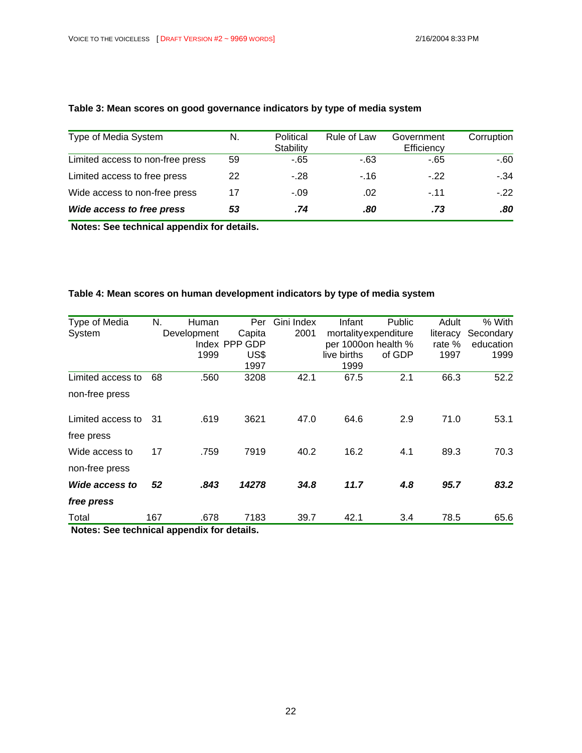| Type of Media System             | N. | Political<br>Stability | Rule of Law | Government<br>Efficiency | Corruption |
|----------------------------------|----|------------------------|-------------|--------------------------|------------|
| Limited access to non-free press | 59 | $-65$                  | $-63$       | $-65$                    | $-60$      |
| Limited access to free press     | 22 | $-.28$                 | $-.16$      | $-.22$                   | -.34       |
| Wide access to non-free press    | 17 | $-.09$                 | .02         | $-.11$                   | $-22$      |
| <b>Wide access to free press</b> | 53 | .74                    | .80         | .73                      | .80        |

# **Table 3: Mean scores on good governance indicators by type of media system**

 **Notes: See technical appendix for details.** 

# **Table 4: Mean scores on human development indicators by type of media system**

| N.  | Human | Per    | Gini Index                               | Infant      | <b>Public</b> | Adult                                                                                    | % With    |
|-----|-------|--------|------------------------------------------|-------------|---------------|------------------------------------------------------------------------------------------|-----------|
|     |       | Capita | 2001                                     |             |               | literacy                                                                                 | Secondary |
|     |       | GDP    |                                          |             |               | rate %                                                                                   | education |
|     | 1999  |        |                                          | live births | of GDP        | 1997                                                                                     | 1999      |
|     |       | 1997   |                                          | 1999        |               |                                                                                          |           |
| 68  | .560  | 3208   | 42.1                                     | 67.5        | 2.1           | 66.3                                                                                     | 52.2      |
|     |       |        |                                          |             |               |                                                                                          |           |
| 31  | .619  | 3621   | 47.0                                     | 64.6        | 2.9           | 71.0                                                                                     | 53.1      |
|     |       |        |                                          |             |               |                                                                                          |           |
| 17  | .759  | 7919   | 40.2                                     | 16.2        | 4.1           | 89.3                                                                                     | 70.3      |
|     |       |        |                                          |             |               |                                                                                          |           |
| 52  |       | 14278  | 34.8                                     | 11.7        | 4.8           | 95.7                                                                                     | 83.2      |
|     |       |        |                                          |             |               |                                                                                          |           |
| 167 | .678  | 7183   | 39.7                                     | 42.1        | 3.4           | 78.5                                                                                     | 65.6      |
|     |       |        | Development<br>Index PPP<br>US\$<br>.843 |             |               | mortalityexpenditure<br>per 1000on health %<br>Notos: Soo toobnical annondiv for dotails |           |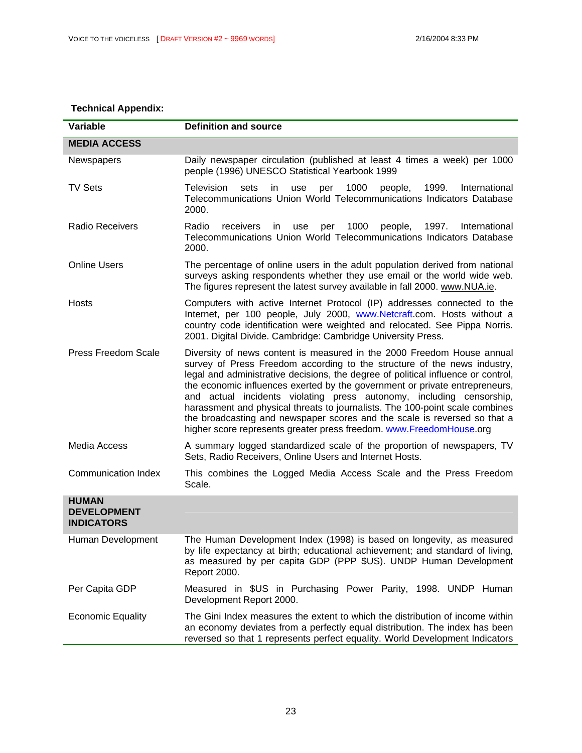# **Technical Appendix:**

l.

| Variable                                                | <b>Definition and source</b>                                                                                                                                                                                                                                                                                                                                                                                                                                                                                                                                                                                                       |
|---------------------------------------------------------|------------------------------------------------------------------------------------------------------------------------------------------------------------------------------------------------------------------------------------------------------------------------------------------------------------------------------------------------------------------------------------------------------------------------------------------------------------------------------------------------------------------------------------------------------------------------------------------------------------------------------------|
| <b>MEDIA ACCESS</b>                                     |                                                                                                                                                                                                                                                                                                                                                                                                                                                                                                                                                                                                                                    |
| Newspapers                                              | Daily newspaper circulation (published at least 4 times a week) per 1000<br>people (1996) UNESCO Statistical Yearbook 1999                                                                                                                                                                                                                                                                                                                                                                                                                                                                                                         |
| <b>TV Sets</b>                                          | <b>Television</b><br>1000<br>people,<br>1999.<br>sets<br>in<br>use<br>per<br>International<br>Telecommunications Union World Telecommunications Indicators Database<br>2000.                                                                                                                                                                                                                                                                                                                                                                                                                                                       |
| Radio Receivers                                         | Radio<br>1000<br>receivers<br>1997.<br>International<br>in<br>use<br>people,<br>per<br>Telecommunications Union World Telecommunications Indicators Database<br>2000.                                                                                                                                                                                                                                                                                                                                                                                                                                                              |
| <b>Online Users</b>                                     | The percentage of online users in the adult population derived from national<br>surveys asking respondents whether they use email or the world wide web.<br>The figures represent the latest survey available in fall 2000. www.NUA.ie.                                                                                                                                                                                                                                                                                                                                                                                            |
| Hosts                                                   | Computers with active Internet Protocol (IP) addresses connected to the<br>Internet, per 100 people, July 2000, www.Netcraft.com. Hosts without a<br>country code identification were weighted and relocated. See Pippa Norris.<br>2001. Digital Divide. Cambridge: Cambridge University Press.                                                                                                                                                                                                                                                                                                                                    |
| <b>Press Freedom Scale</b>                              | Diversity of news content is measured in the 2000 Freedom House annual<br>survey of Press Freedom according to the structure of the news industry,<br>legal and administrative decisions, the degree of political influence or control,<br>the economic influences exerted by the government or private entrepreneurs,<br>and actual incidents violating press autonomy, including censorship,<br>harassment and physical threats to journalists. The 100-point scale combines<br>the broadcasting and newspaper scores and the scale is reversed so that a<br>higher score represents greater press freedom. www.FreedomHouse.org |
| Media Access                                            | A summary logged standardized scale of the proportion of newspapers, TV<br>Sets, Radio Receivers, Online Users and Internet Hosts.                                                                                                                                                                                                                                                                                                                                                                                                                                                                                                 |
| <b>Communication Index</b>                              | This combines the Logged Media Access Scale and the Press Freedom<br>Scale.                                                                                                                                                                                                                                                                                                                                                                                                                                                                                                                                                        |
| <b>HUMAN</b><br><b>DEVELOPMENT</b><br><b>INDICATORS</b> |                                                                                                                                                                                                                                                                                                                                                                                                                                                                                                                                                                                                                                    |
| Human Development                                       | The Human Development Index (1998) is based on longevity, as measured<br>by life expectancy at birth; educational achievement; and standard of living,<br>as measured by per capita GDP (PPP \$US). UNDP Human Development<br>Report 2000.                                                                                                                                                                                                                                                                                                                                                                                         |
| Per Capita GDP                                          | Measured in \$US in Purchasing Power Parity, 1998. UNDP Human<br>Development Report 2000.                                                                                                                                                                                                                                                                                                                                                                                                                                                                                                                                          |
| <b>Economic Equality</b>                                | The Gini Index measures the extent to which the distribution of income within<br>an economy deviates from a perfectly equal distribution. The index has been<br>reversed so that 1 represents perfect equality. World Development Indicators                                                                                                                                                                                                                                                                                                                                                                                       |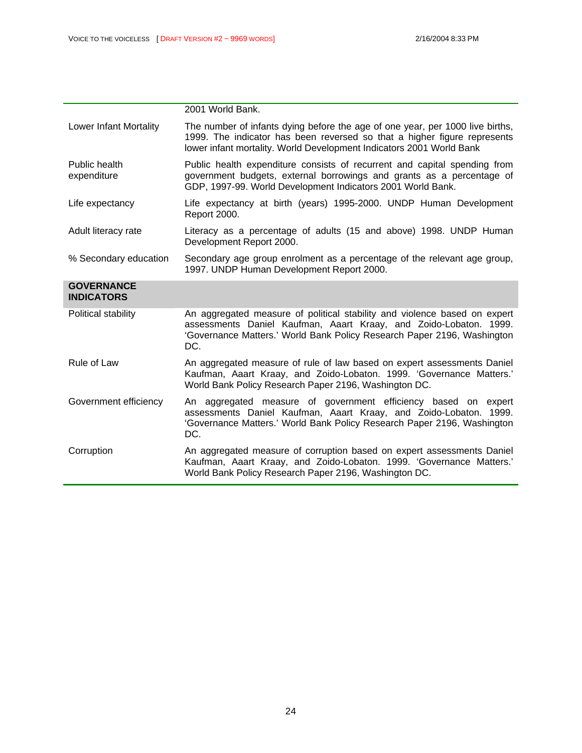|                                        | 2001 World Bank.                                                                                                                                                                                                                  |
|----------------------------------------|-----------------------------------------------------------------------------------------------------------------------------------------------------------------------------------------------------------------------------------|
| Lower Infant Mortality                 | The number of infants dying before the age of one year, per 1000 live births,<br>1999. The indicator has been reversed so that a higher figure represents<br>lower infant mortality. World Development Indicators 2001 World Bank |
| Public health<br>expenditure           | Public health expenditure consists of recurrent and capital spending from<br>government budgets, external borrowings and grants as a percentage of<br>GDP, 1997-99. World Development Indicators 2001 World Bank.                 |
| Life expectancy                        | Life expectancy at birth (years) 1995-2000. UNDP Human Development<br>Report 2000.                                                                                                                                                |
| Adult literacy rate                    | Literacy as a percentage of adults (15 and above) 1998. UNDP Human<br>Development Report 2000.                                                                                                                                    |
| % Secondary education                  | Secondary age group enrolment as a percentage of the relevant age group,<br>1997. UNDP Human Development Report 2000.                                                                                                             |
| <b>GOVERNANCE</b><br><b>INDICATORS</b> |                                                                                                                                                                                                                                   |
| Political stability                    | An aggregated measure of political stability and violence based on expert<br>assessments Daniel Kaufman, Aaart Kraay, and Zoido-Lobaton. 1999.<br>'Governance Matters.' World Bank Policy Research Paper 2196, Washington<br>DC.  |
| Rule of Law                            | An aggregated measure of rule of law based on expert assessments Daniel<br>Kaufman, Aaart Kraay, and Zoido-Lobaton. 1999. 'Governance Matters.'<br>World Bank Policy Research Paper 2196, Washington DC.                          |
| Government efficiency                  | An aggregated measure of government efficiency based on expert<br>assessments Daniel Kaufman, Aaart Kraay, and Zoido-Lobaton. 1999.<br>'Governance Matters.' World Bank Policy Research Paper 2196, Washington<br>DC.             |
| Corruption                             | An aggregated measure of corruption based on expert assessments Daniel<br>Kaufman, Aaart Kraay, and Zoido-Lobaton. 1999. 'Governance Matters.'<br>World Bank Policy Research Paper 2196, Washington DC.                           |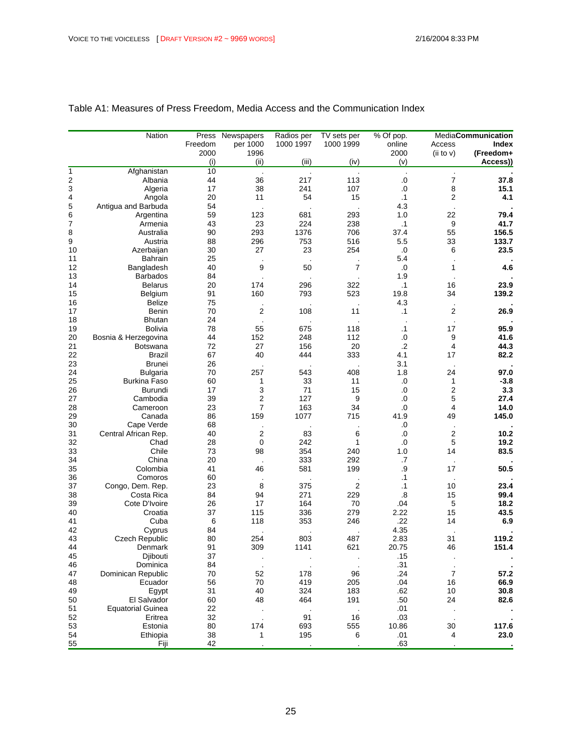|                         | Nation                            | Press<br>Freedom | Newspapers<br>per 1000 | Radios per<br>1000 1997 | TV sets per<br>1000 1999 | % Of pop.<br>online | Access                      | <b>MediaCommunication</b><br>Index |
|-------------------------|-----------------------------------|------------------|------------------------|-------------------------|--------------------------|---------------------|-----------------------------|------------------------------------|
|                         |                                   | 2000             | 1996                   |                         |                          | 2000                | (ii to $v$ )                | (Freedom+                          |
|                         |                                   | (i)              | (ii)                   | (iii)                   | (iv)                     | (v)                 |                             | Access))                           |
| 1                       | Afghanistan                       | 10               |                        |                         |                          | $\cdot$             | $\cdot$                     |                                    |
| $\overline{\mathbf{c}}$ | Albania                           | 44               | 36                     | 217                     | 113                      | .0                  | 7                           | 37.8                               |
| 3                       | Algeria                           | 17               | 38                     | 241                     | 107                      | 0.                  | 8                           | 15.1                               |
| 4                       | Angola                            | 20               | 11                     | 54                      | 15                       | $\cdot$ 1           | 2                           | 4.1                                |
| 5                       | Antigua and Barbuda               | 54               |                        |                         |                          | 4.3                 |                             |                                    |
| 6                       | Argentina                         | 59               | 123                    | 681                     | 293                      | 1.0                 | 22                          | 79.4                               |
| 7                       | Armenia                           | 43               | 23                     | 224                     | 238                      | .1                  | 9                           | 41.7                               |
| 8                       | Australia                         | 90               | 293                    | 1376                    | 706                      | 37.4                | 55                          | 156.5                              |
| 9                       | Austria                           | 88               | 296                    | 753                     | 516                      | 5.5                 | 33                          | 133.7                              |
| 10                      | Azerbaijan                        | 30               | 27                     | 23                      | 254                      | .0                  | 6                           | 23.5                               |
| 11                      | Bahrain                           | 25               |                        |                         |                          | 5.4                 |                             |                                    |
| 12                      | Bangladesh                        | 40               | 9                      | 50                      | 7                        | .0                  | 1                           | 4.6                                |
| 13<br>14                | <b>Barbados</b><br><b>Belarus</b> | 84<br>20         | 174                    | 296                     | 322                      | 1.9<br>$\cdot$ 1    | 16                          | 23.9                               |
| 15                      | Belgium                           | 91               | 160                    | 793                     | 523                      | 19.8                | 34                          | 139.2                              |
| 16                      | Belize                            | 75               |                        |                         |                          | 4.3                 |                             |                                    |
| 17                      | Benin                             | 70               | $\overline{2}$         | 108                     | 11                       | .1                  | 2                           | 26.9                               |
| 18                      | <b>Bhutan</b>                     | 24               |                        |                         |                          |                     |                             |                                    |
| 19                      | Bolivia                           | 78               | 55                     | 675                     | 118                      | $\cdot$ 1           | 17                          | 95.9                               |
| 20                      | Bosnia & Herzegovina              | 44               | 152                    | 248                     | 112                      | .0                  | 9                           | 41.6                               |
| 21                      | <b>Botswana</b>                   | 72               | 27                     | 156                     | 20                       | $\cdot$             | 4                           | 44.3                               |
| 22                      | Brazil                            | 67               | 40                     | 444                     | 333                      | 4.1                 | 17                          | 82.2                               |
| 23                      | <b>Brunei</b>                     | 26               |                        |                         |                          | 3.1                 |                             |                                    |
| 24                      | <b>Bulgaria</b>                   | 70               | 257                    | 543                     | 408                      | 1.8                 | 24                          | 97.0                               |
| 25                      | <b>Burkina Faso</b>               | 60               | 1                      | 33                      | 11                       | .0                  | 1                           | $-3.8$                             |
| 26                      | Burundi                           | 17               | 3                      | 71                      | 15                       | .0                  | 2                           | 3.3                                |
| 27                      | Cambodia                          | 39               | 2                      | 127                     | 9                        | .0                  | 5                           | 27.4                               |
| 28                      | Cameroon                          | 23               | 7                      | 163                     | 34                       | .0                  | 4                           | 14.0                               |
| 29                      | Canada                            | 86               | 159                    | 1077                    | 715                      | 41.9                | 49                          | 145.0                              |
| 30                      | Cape Verde                        | 68               |                        |                         |                          | .0                  |                             |                                    |
| 31                      | Central African Rep.              | 40               | $\overline{2}$         | 83                      | 6                        | .0                  | 2                           | 10.2                               |
| 32                      | Chad                              | 28               | 0                      | 242                     | 1                        | 0.                  | 5                           | 19.2                               |
| 33                      | Chile                             | 73               | 98                     | 354                     | 240                      | 1.0                 | 14                          | 83.5                               |
| 34                      | China                             | 20               |                        | 333                     | 292                      | .7                  |                             |                                    |
| 35                      | Colombia                          | 41               | 46                     | 581                     | 199                      | .9                  | 17                          | 50.5                               |
| 36                      | Comoros                           | 60               |                        |                         |                          | $\cdot$ 1           |                             |                                    |
| 37                      | Congo, Dem. Rep.                  | 23               | 8                      | 375                     | $\overline{2}$           | $\cdot$ 1           | 10                          | 23.4                               |
| 38                      | Costa Rica                        | 84               | 94                     | 271                     | 229                      | $\boldsymbol{.8}$   | 15                          | 99.4                               |
| 39                      | Cote D'Ivoire                     | 26               | 17                     | 164                     | 70                       | .04                 | 5                           | 18.2                               |
| 40                      | Croatia                           | 37               | 115                    | 336                     | 279                      | 2.22                | 15                          | 43.5                               |
| 41                      | Cuba                              | 6                | 118                    | 353                     | 246                      | .22                 | 14                          | 6.9                                |
| 42<br>43                | Cyprus<br>Czech Republic          | 84<br>80         | 254                    | 803                     | 487                      | 4.35<br>2.83        | 31                          | 119.2                              |
| 44                      |                                   | 91               | 309                    |                         | 621                      | 20.75               | 46                          | 151.4                              |
| 45                      | Denmark<br>Djibouti               | 37               |                        | 1141                    |                          | .15                 |                             |                                    |
| 46                      | Dominica                          | 84               |                        |                         |                          | .31                 |                             |                                    |
| 47                      | Dominican Republic                | 70               | 52                     | 178                     | 96                       | .24                 | $\cdot$<br>$\boldsymbol{7}$ | 57.2                               |
| 48                      | Ecuador                           | 56               | 70                     | 419                     | 205                      | .04                 | 16                          | 66.9                               |
| 49                      | Egypt                             | 31               | 40                     | 324                     | 183                      | .62                 | 10                          | 30.8                               |
| 50                      | El Salvador                       | 60               | 48                     | 464                     | 191                      | .50                 | 24                          | 82.6                               |
| 51                      | <b>Equatorial Guinea</b>          | 22               |                        |                         |                          | .01                 |                             |                                    |
| 52                      | Eritrea                           | 32               |                        | 91                      | 16                       | .03                 |                             |                                    |
| 53                      | Estonia                           | 80               | 174                    | 693                     | 555                      | 10.86               | 30                          | 117.6                              |
| 54                      | Ethiopia                          | 38               | 1                      | 195                     | 6                        | .01                 | 4                           | 23.0                               |
| 55                      | Fiji                              | 42               |                        | $\blacksquare$          | $\blacksquare$           | .63                 |                             | $\bullet$                          |

# Table A1: Measures of Press Freedom, Media Access and the Communication Index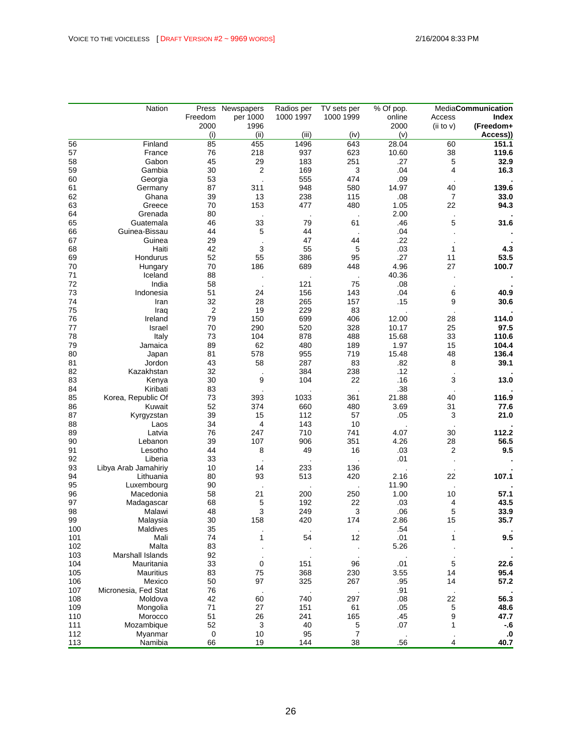|          | Nation               | Press     | Newspapers           | Radios per | TV sets per      | % Of pop.     |              | <b>MediaCommunication</b> |
|----------|----------------------|-----------|----------------------|------------|------------------|---------------|--------------|---------------------------|
|          |                      | Freedom   | per 1000             | 1000 1997  | 1000 1999        | online        | Access       | Index                     |
|          |                      | 2000      | 1996                 |            |                  | 2000          | (ii to $v$ ) | (Freedom+                 |
|          |                      | (i)       | (ii)                 | (iii)      | (iv)             | (v)           |              | Access))                  |
| 56       | Finland              | 85        | 455                  | 1496       | 643              | 28.04         | 60           | 151.1                     |
| 57       | France               | 76        | 218                  | 937<br>183 | 623              | 10.60<br>.27  | 38           | 119.6                     |
| 58<br>59 | Gabon<br>Gambia      | 45<br>30  | 29<br>$\overline{c}$ | 169        | 251<br>3         | .04           | 5<br>4       | 32.9<br>16.3              |
| 60       | Georgia              | 53        |                      | 555        | 474              | .09           |              |                           |
| 61       | Germany              | 87        | 311                  | 948        | 580              | 14.97         | 40           | 139.6                     |
| 62       | Ghana                | 39        | 13                   | 238        | 115              | .08           | 7            | 33.0                      |
| 63       | Greece               | 70        | 153                  | 477        | 480              | 1.05          | 22           | 94.3                      |
| 64       | Grenada              | 80        |                      |            |                  | 2.00          |              |                           |
| 65       | Guatemala            | 46        | 33                   | 79         | 61               | .46           | 5            | 31.6                      |
| 66       | Guinea-Bissau        | 44        | 5                    | 44         |                  | .04           |              |                           |
| 67       | Guinea               | 29        |                      | 47         | 44               | .22           |              |                           |
| 68       | Haiti                | 42        | 3                    | 55         | 5                | .03           | 1            | 4.3                       |
| 69       | Hondurus             | 52        | 55                   | 386        | 95               | .27           | 11           | 53.5                      |
| 70       | Hungary              | 70        | 186                  | 689        | 448              | 4.96          | 27           | 100.7                     |
| 71       | Iceland              | 88        |                      |            |                  | 40.36         |              |                           |
| 72       | India                | 58        |                      | 121        | 75               | .08           |              |                           |
| 73       | Indonesia            | 51        | 24                   | 156        | 143              | .04           | 6            | 40.9                      |
| 74       | Iran                 | 32        | 28                   | 265        | 157              | .15           | 9            | 30.6                      |
| 75       | Iraq                 | 2         | 19                   | 229        | 83               |               |              |                           |
| 76       | Ireland              | 79        | 150                  | 699        | 406              | 12.00         | 28           | 114.0                     |
| 77       | Israel               | 70        | 290                  | 520        | 328              | 10.17         | 25           | 97.5                      |
| 78       | Italy                | 73        | 104<br>62            | 878<br>480 | 488              | 15.68         | 33<br>15     | 110.6                     |
| 79<br>80 | Jamaica<br>Japan     | 89<br>81  | 578                  | 955        | 189<br>719       | 1.97<br>15.48 | 48           | 104.4<br>136.4            |
| 81       | Jordon               | 43        | 58                   | 287        | 83               | .82           | 8            | 39.1                      |
| 82       | Kazakhstan           | 32        |                      | 384        | 238              | .12           |              |                           |
| 83       | Kenya                | 30        | 9                    | 104        | 22               | .16           | 3            | 13.0                      |
| 84       | Kiribati             | 83        |                      |            |                  | .38           |              |                           |
| 85       | Korea, Republic Of   | 73        | 393                  | 1033       | 361              | 21.88         | 40           | 116.9                     |
| 86       | Kuwait               | 52        | 374                  | 660        | 480              | 3.69          | 31           | 77.6                      |
| 87       | Kyrgyzstan           | 39        | 15                   | 112        | 57               | .05           | 3            | 21.0                      |
| 88       | Laos                 | 34        | 4                    | 143        | 10               |               |              |                           |
| 89       | Latvia               | 76        | 247                  | 710        | 741              | 4.07          | 30           | 112.2                     |
| 90       | Lebanon              | 39        | 107                  | 906        | 351              | 4.26          | 28           | 56.5                      |
| 91       | Lesotho              | 44        | 8                    | 49         | 16               | .03           | 2            | 9.5                       |
| 92       | Liberia              | 33        |                      |            |                  | .01           |              |                           |
| 93       | Libya Arab Jamahiriy | 10        | 14                   | 233        | 136              |               |              |                           |
| 94       | Lithuania            | 80        | 93                   | 513        | 420              | 2.16          | 22           | 107.1                     |
| 95       | Luxembourg           | 90        |                      |            |                  | 11.90         |              |                           |
| 96<br>97 | Macedonia            | 58        | 21                   | 200        | 250              | 1.00          | 10           | 57.1                      |
| 98       | Madagascar<br>Malawi | 68<br>48  | 5<br>3               | 192<br>249 | 22<br>3          | .03<br>.06    | 4<br>5       | 43.5<br>33.9              |
| 99       | Malaysia             | 30        | 158                  | 420        | 174              | 2.86          | 15           | 35.7                      |
| 100      | Maldives             | 35        |                      |            |                  | .54           |              |                           |
| 101      | Mali                 | 74        | 1                    | 54         | 12               | .01           | 1            | 9.5                       |
| 102      | Malta                | 83        |                      |            | $\cdot$          | 5.26          |              |                           |
| 103      | Marshall Islands     | 92        |                      |            |                  |               |              |                           |
| 104      | Mauritania           | 33        | 0                    | 151        | 96               | .01           | 5            | 22.6                      |
| 105      | Mauritius            | 83        | 75                   | 368        | 230              | 3.55          | 14           | 95.4                      |
| 106      | Mexico               | 50        | 97                   | 325        | 267              | .95           | 14           | 57.2                      |
| 107      | Micronesia, Fed Stat | 76        |                      |            |                  | .91           |              |                           |
| 108      | Moldova              | 42        | 60                   | 740        | 297              | .08           | 22           | 56.3                      |
| 109      | Mongolia             | 71        | 27                   | 151        | 61               | .05           | 5            | 48.6                      |
| 110      | Morocco              | 51        | 26                   | 241        | 165              | .45           | 9            | 47.7                      |
| 111      | Mozambique           | 52        | 3                    | 40         | 5                | .07           | 1            | $-6$                      |
| 112      | Myanmar              | $\pmb{0}$ | 10                   | 95         | $\boldsymbol{7}$ |               |              | ${\bf .0}$                |
| 113      | Namibia              | 66        | 19                   | 144        | 38               | .56           | 4            | 40.7                      |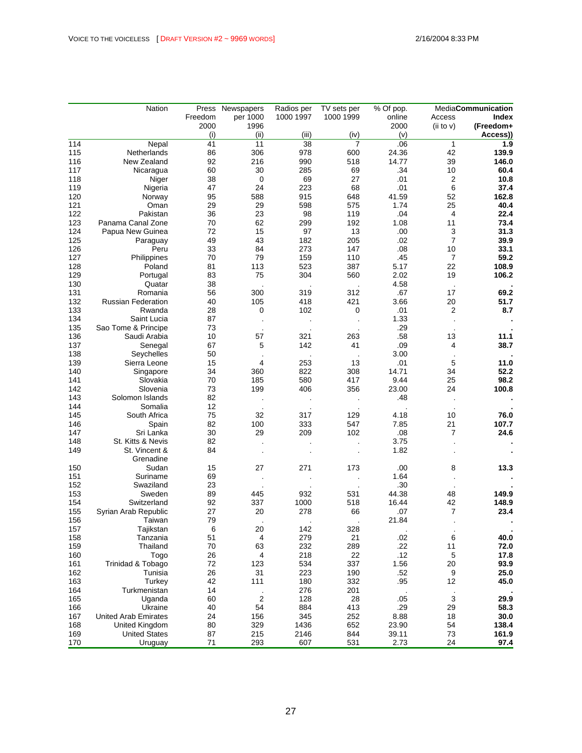|            | Nation                       | Press     | Newspapers              | Radios per  | TV sets per            | % Of pop.   |                       | MediaCommunication |
|------------|------------------------------|-----------|-------------------------|-------------|------------------------|-------------|-----------------------|--------------------|
|            |                              | Freedom   | per 1000                | 1000 1997   | 1000 1999              | online      | Access                | Index              |
|            |                              | 2000      | 1996                    |             |                        | 2000        | (ii to $v$ )          | (Freedom+          |
| 114        | Nepal                        | (i)<br>41 | (ii)<br>11              | (iii)<br>38 | (iv)<br>$\overline{7}$ | (v)<br>.06  | $\mathbf{1}$          | Access))<br>1.9    |
| 115        | Netherlands                  | 86        | 306                     | 978         | 600                    | 24.36       | 42                    | 139.9              |
| 116        | New Zealand                  | 92        | 216                     | 990         | 518                    | 14.77       | 39                    | 146.0              |
| 117        | Nicaragua                    | 60        | 30                      | 285         | 69                     | .34         | 10                    | 60.4               |
| 118        | Niger                        | 38        | 0                       | 69          | 27                     | .01         | $\overline{2}$        | 10.8               |
| 119        | Nigeria                      | 47        | 24                      | 223         | 68                     | .01         | 6                     | 37.4               |
| 120        | Norway                       | 95        | 588                     | 915         | 648                    | 41.59       | 52                    | 162.8              |
| 121        | Oman                         | 29        | 29                      | 598         | 575                    | 1.74        | 25                    | 40.4               |
| 122        | Pakistan                     | 36        | 23                      | 98          | 119                    | .04         | 4                     | 22.4               |
| 123        | Panama Canal Zone            | 70        | 62                      | 299         | 192                    | 1.08        | 11                    | 73.4               |
| 124<br>125 | Papua New Guinea<br>Paraguay | 72<br>49  | 15<br>43                | 97<br>182   | 13<br>205              | .00<br>.02  | 3<br>$\overline{7}$   | 31.3<br>39.9       |
| 126        | Peru                         | 33        | 84                      | 273         | 147                    | .08         | 10                    | 33.1               |
| 127        | Philippines                  | 70        | 79                      | 159         | 110                    | .45         | 7                     | 59.2               |
| 128        | Poland                       | 81        | 113                     | 523         | 387                    | 5.17        | 22                    | 108.9              |
| 129        | Portugal                     | 83        | 75                      | 304         | 560                    | 2.02        | 19                    | 106.2              |
| 130        | Quatar                       | 38        |                         |             |                        | 4.58        |                       |                    |
| 131        | Romania                      | 56        | 300                     | 319         | 312                    | .67         | 17                    | 69.2               |
| 132        | <b>Russian Federation</b>    | 40        | 105                     | 418         | 421                    | 3.66        | 20                    | 51.7               |
| 133        | Rwanda                       | 28        | 0                       | 102         | 0                      | .01         | 2                     | 8.7                |
| 134        | Saint Lucia                  | 87        |                         |             |                        | 1.33        |                       |                    |
| 135        | Sao Tome & Principe          | 73        |                         |             |                        | .29         |                       |                    |
| 136        | Saudi Arabia                 | 10        | 57                      | 321         | 263                    | .58         | 13                    | 11.1               |
| 137<br>138 | Senegal<br>Seychelles        | 67<br>50  | 5                       | 142         | 41                     | .09<br>3.00 | 4                     | 38.7               |
| 139        | Sierra Leone                 | 15        | 4                       | 253         | 13                     | .01         | 5                     | 11.0               |
| 140        | Singapore                    | 34        | 360                     | 822         | 308                    | 14.71       | 34                    | 52.2               |
| 141        | Slovakia                     | 70        | 185                     | 580         | 417                    | 9.44        | 25                    | 98.2               |
| 142        | Slovenia                     | 73        | 199                     | 406         | 356                    | 23.00       | 24                    | 100.8              |
| 143        | Solomon Islands              | 82        |                         |             |                        | .48         |                       |                    |
| 144        | Somalia                      | 12        |                         |             |                        |             |                       |                    |
| 145        | South Africa                 | 75        | 32                      | 317         | 129                    | 4.18        | 10                    | 76.0               |
| 146        | Spain                        | 82        | 100                     | 333         | 547                    | 7.85        | 21                    | 107.7              |
| 147        | Sri Lanka                    | 30        | 29                      | 209         | 102                    | .08         | 7                     | 24.6               |
| 148        | St. Kitts & Nevis            | 82        |                         |             |                        | 3.75        |                       |                    |
| 149        | St. Vincent &                | 84        |                         |             |                        | 1.82        |                       |                    |
|            | Grenadine                    |           |                         |             |                        |             |                       | 13.3               |
| 150<br>151 | Sudan<br>Suriname            | 15<br>69  | 27                      | 271         | 173                    | .00<br>1.64 | 8                     |                    |
| 152        | Swaziland                    | 23        |                         |             |                        | .30         |                       |                    |
| 153        | Sweden                       | 89        | 445                     | 932         | 531                    | 44.38       | 48                    | 149.9              |
| 154        | Switzerland                  | 92        | 337                     | 1000        | 518                    | 16.44       | 42                    | 148.9              |
| 155        | Syrian Arab Republic         | 27        | 20                      | 278         | 66                     | .07         | 7                     | 23.4               |
| 156        | Taiwan                       | 79        |                         |             |                        | 21.84       |                       |                    |
| 157        | Tajikstan                    | 6         | 20                      | 142         | 328                    |             |                       |                    |
| 158        | Tanzania                     | 51        | 4                       | 279         | 21                     | .02         | 6                     | 40.0               |
| 159        | Thailand                     | 70        | 63                      | 232         | 289                    | .22         | 11                    | 72.0               |
| 160        | Togo                         | 26        | $\overline{\mathbf{4}}$ | 218         | 22                     | .12         | 5                     | 17.8               |
| 161        | Trinidad & Tobago            | 72        | 123                     | 534         | 337                    | 1.56        | 20                    | 93.9               |
| 162<br>163 | Tunisia<br>Turkey            | 26<br>42  | 31<br>111               | 223<br>180  | 190<br>332             | .52<br>.95  | 9<br>12               | 25.0<br>45.0       |
| 164        | Turkmenistan                 | 14        |                         | 276         | 201                    |             |                       |                    |
| 165        | Uganda                       | 60        | 2                       | 128         | 28                     | .05         | $\cdot$<br>$\sqrt{3}$ | 29.9               |
| 166        | Ukraine                      | 40        | 54                      | 884         | 413                    | .29         | 29                    | 58.3               |
| 167        | <b>United Arab Emirates</b>  | 24        | 156                     | 345         | 252                    | 8.88        | 18                    | 30.0               |
| 168        | <b>United Kingdom</b>        | 80        | 329                     | 1436        | 652                    | 23.90       | 54                    | 138.4              |
| 169        | <b>United States</b>         | 87        | 215                     | 2146        | 844                    | 39.11       | 73                    | 161.9              |
| 170        | Uruguay                      | 71        | 293                     | 607         | 531                    | 2.73        | 24                    | 97.4               |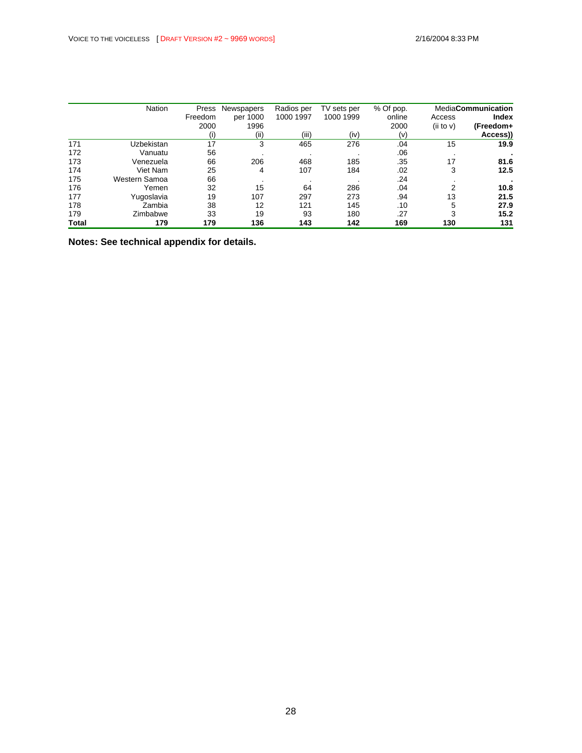|              | Nation        | Press   | Newspapers | Radios per | TV sets per | % Of pop. |              | <b>MediaCommunication</b> |
|--------------|---------------|---------|------------|------------|-------------|-----------|--------------|---------------------------|
|              |               | Freedom | per 1000   | 1000 1997  | 1000 1999   | online    | Access       | Index                     |
|              |               | 2000    | 1996       |            |             | 2000      | (ii to $v$ ) | (Freedom+                 |
|              |               | (i)     | (ii)       | (iii)      | (iv)        | (v)       |              | Access))                  |
| 171          | Uzbekistan    | 17      | 3          | 465        | 276         | .04       | 15           | 19.9                      |
| 172          | Vanuatu       | 56      |            |            |             | .06       |              |                           |
| 173          | Venezuela     | 66      | 206        | 468        | 185         | .35       | 17           | 81.6                      |
| 174          | Viet Nam      | 25      | 4          | 107        | 184         | .02       | 3            | 12.5                      |
| 175          | Western Samoa | 66      |            |            |             | .24       |              |                           |
| 176          | Yemen         | 32      | 15         | 64         | 286         | .04       | っ            | 10.8                      |
| 177          | Yugoslavia    | 19      | 107        | 297        | 273         | .94       | 13           | 21.5                      |
| 178          | Zambia        | 38      | 12         | 121        | 145         | .10       | 5            | 27.9                      |
| 179          | Zimbabwe      | 33      | 19         | 93         | 180         | .27       | 3            | 15.2                      |
| <b>Total</b> | 179           | 179     | 136        | 143        | 142         | 169       | 130          | 131                       |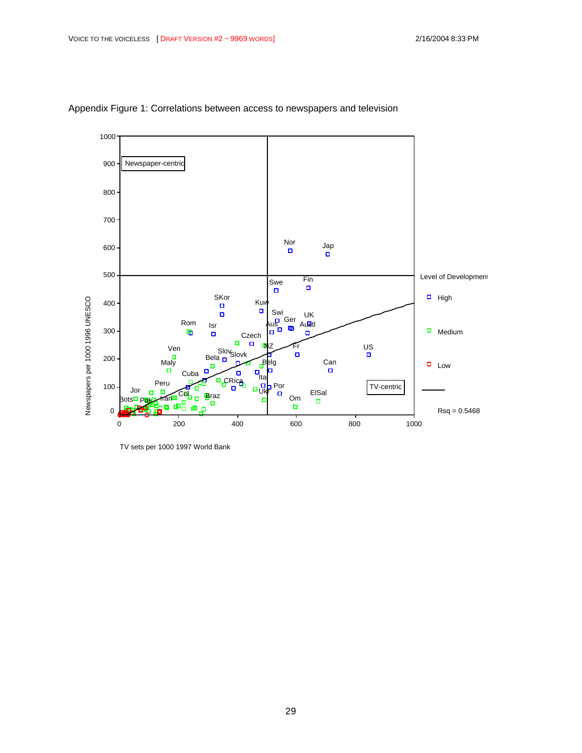

### Appendix Figure 1: Correlations between access to newspapers and television

TV sets per 1000 1997 World Bank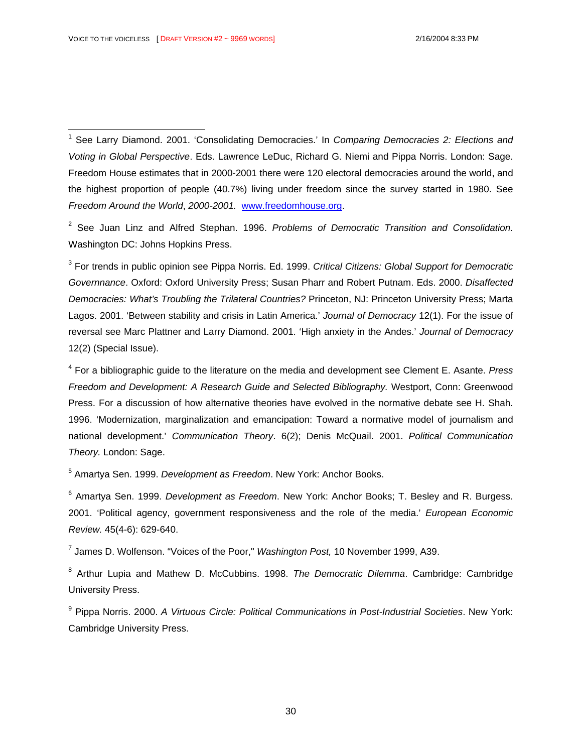$\overline{a}$ 

1 See Larry Diamond. 2001. 'Consolidating Democracies.' In *Comparing Democracies 2: Elections and Voting in Global Perspective*. Eds. Lawrence LeDuc, Richard G. Niemi and Pippa Norris. London: Sage. Freedom House estimates that in 2000-2001 there were 120 electoral democracies around the world, and the highest proportion of people (40.7%) living under freedom since the survey started in 1980. See *Freedom Around the World*, *2000-2001.* www.freedomhouse.org.

2 See Juan Linz and Alfred Stephan. 1996. *Problems of Democratic Transition and Consolidation.* Washington DC: Johns Hopkins Press.

3 For trends in public opinion see Pippa Norris. Ed. 1999. *Critical Citizens: Global Support for Democratic Governnance*. Oxford: Oxford University Press; Susan Pharr and Robert Putnam. Eds. 2000. *Disaffected Democracies: What's Troubling the Trilateral Countries?* Princeton, NJ: Princeton University Press; Marta Lagos. 2001. 'Between stability and crisis in Latin America.' *Journal of Democracy* 12(1). For the issue of reversal see Marc Plattner and Larry Diamond. 2001. 'High anxiety in the Andes.' *Journal of Democracy* 12(2) (Special Issue).

4 For a bibliographic guide to the literature on the media and development see Clement E. Asante. *Press Freedom and Development: A Research Guide and Selected Bibliography.* Westport, Conn: Greenwood Press. For a discussion of how alternative theories have evolved in the normative debate see H. Shah. 1996. 'Modernization, marginalization and emancipation: Toward a normative model of journalism and national development.' *Communication Theory*. 6(2); Denis McQuail. 2001. *Political Communication Theory.* London: Sage.

5 Amartya Sen. 1999. *Development as Freedom*. New York: Anchor Books.

6 Amartya Sen. 1999. *Development as Freedom*. New York: Anchor Books; T. Besley and R. Burgess. 2001. 'Political agency, government responsiveness and the role of the media.' *European Economic Review.* 45(4-6): 629-640.

7 James D. Wolfenson. "Voices of the Poor," *Washington Post,* 10 November 1999, A39.

<sup>8</sup> Arthur Lupia and Mathew D. McCubbins. 1998. The Democratic Dilemma. Cambridge: Cambridge University Press.

9 Pippa Norris. 2000. *A Virtuous Circle: Political Communications in Post-Industrial Societies*. New York: Cambridge University Press.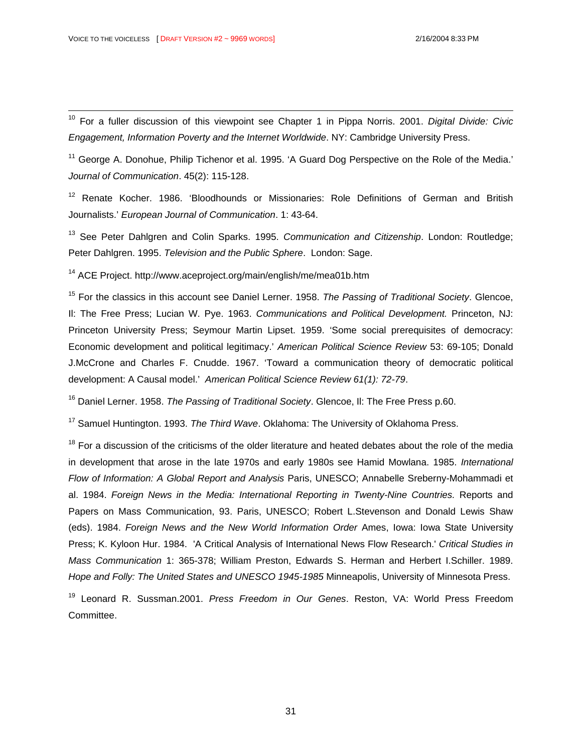10 For a fuller discussion of this viewpoint see Chapter 1 in Pippa Norris. 2001. *Digital Divide: Civic Engagement, Information Poverty and the Internet Worldwide*. NY: Cambridge University Press.

 $11$  George A. Donohue, Philip Tichenor et al. 1995. 'A Guard Dog Perspective on the Role of the Media.' *Journal of Communication*. 45(2): 115-128.

<sup>12</sup> Renate Kocher. 1986. 'Bloodhounds or Missionaries: Role Definitions of German and British Journalists.' *European Journal of Communication*. 1: 43-64.

13 See Peter Dahlgren and Colin Sparks. 1995. *Communication and Citizenship*. London: Routledge; Peter Dahlgren. 1995. *Television and the Public Sphere*. London: Sage.

<sup>14</sup> ACE Project. http://www.aceproject.org/main/english/me/mea01b.htm

15 For the classics in this account see Daniel Lerner. 1958. *The Passing of Traditional Society*. Glencoe, Il: The Free Press; Lucian W. Pye. 1963. *Communications and Political Development.* Princeton, NJ: Princeton University Press; Seymour Martin Lipset. 1959. 'Some social prerequisites of democracy: Economic development and political legitimacy.' *American Political Science Review* 53: 69-105; Donald J.McCrone and Charles F. Cnudde. 1967. 'Toward a communication theory of democratic political development: A Causal model.' *American Political Science Review 61(1): 72-79*.

16 Daniel Lerner. 1958. *The Passing of Traditional Society*. Glencoe, Il: The Free Press p.60.

17 Samuel Huntington. 1993. *The Third Wave*. Oklahoma: The University of Oklahoma Press.

 $18$  For a discussion of the criticisms of the older literature and heated debates about the role of the media in development that arose in the late 1970s and early 1980s see Hamid Mowlana. 1985. *International Flow of Information: A Global Report and Analysis* Paris, UNESCO; Annabelle Sreberny-Mohammadi et al. 1984. *Foreign News in the Media: International Reporting in Twenty-Nine Countries.* Reports and Papers on Mass Communication, 93. Paris, UNESCO; Robert L.Stevenson and Donald Lewis Shaw (eds). 1984. *Foreign News and the New World Information Order* Ames, Iowa: Iowa State University Press; K. Kyloon Hur. 1984. 'A Critical Analysis of International News Flow Research.' *Critical Studies in Mass Communication* 1: 365-378; William Preston, Edwards S. Herman and Herbert I.Schiller. 1989. *Hope and Folly: The United States and UNESCO 1945-1985* Minneapolis, University of Minnesota Press.

19 Leonard R. Sussman.2001. *Press Freedom in Our Genes*. Reston, VA: World Press Freedom Committee.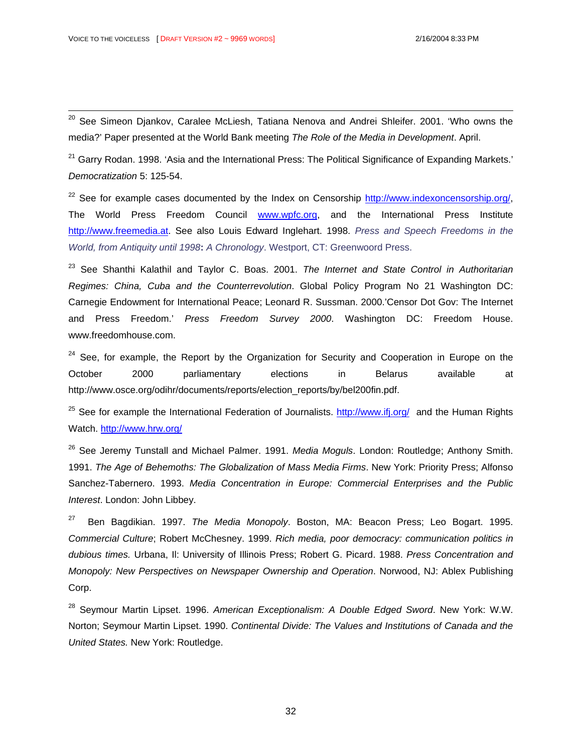<sup>20</sup> See Simeon Djankov, Caralee McLiesh, Tatiana Nenova and Andrei Shleifer. 2001. 'Who owns the media?' Paper presented at the World Bank meeting *The Role of the Media in Development*. April.

<sup>21</sup> Garry Rodan. 1998. 'Asia and the International Press: The Political Significance of Expanding Markets.' *Democratization* 5: 125-54.

<sup>22</sup> See for example cases documented by the Index on Censorship http://www.indexoncensorship.org/, The World Press Freedom Council www.wpfc.org, and the International Press Institute http://www.freemedia.at. See also Louis Edward Inglehart. 1998. *Press and Speech Freedoms in the World, from Antiquity until 1998***:** *A Chronology*. Westport, CT: Greenwoord Press.

23 See Shanthi Kalathil and Taylor C. Boas. 2001. *The Internet and State Control in Authoritarian Regimes: China, Cuba and the Counterrevolution*. Global Policy Program No 21 Washington DC: Carnegie Endowment for International Peace; Leonard R. Sussman. 2000.'Censor Dot Gov: The Internet and Press Freedom.' *Press Freedom Survey 2000*. Washington DC: Freedom House. www.freedomhouse.com.

<sup>24</sup> See, for example, the Report by the Organization for Security and Cooperation in Europe on the October 2000 parliamentary elections in Belarus available at http://www.osce.org/odihr/documents/reports/election\_reports/by/bel200fin.pdf.

<sup>25</sup> See for example the International Federation of Journalists. http://www.ifj.org/ and the Human Rights Watch. http://www.hrw.org/

26 See Jeremy Tunstall and Michael Palmer. 1991. *Media Moguls*. London: Routledge; Anthony Smith. 1991. *The Age of Behemoths: The Globalization of Mass Media Firms*. New York: Priority Press; Alfonso Sanchez-Tabernero. 1993. *Media Concentration in Europe: Commercial Enterprises and the Public Interest*. London: John Libbey.

27 Ben Bagdikian. 1997. *The Media Monopoly*. Boston, MA: Beacon Press; Leo Bogart. 1995. *Commercial Culture*; Robert McChesney. 1999. *Rich media, poor democracy: communication politics in dubious times.* Urbana, Il: University of Illinois Press; Robert G. Picard. 1988. *Press Concentration and Monopoly: New Perspectives on Newspaper Ownership and Operation*. Norwood, NJ: Ablex Publishing Corp.

28 Seymour Martin Lipset. 1996. *American Exceptionalism: A Double Edged Sword*. New York: W.W. Norton; Seymour Martin Lipset. 1990. *Continental Divide: The Values and Institutions of Canada and the United States.* New York: Routledge.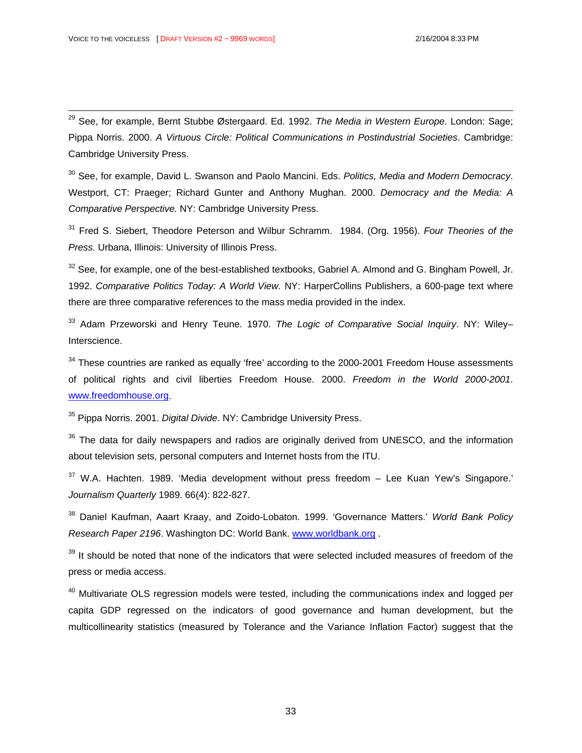29 See, for example, Bernt Stubbe Østergaard. Ed. 1992. *The Media in Western Europe*. London: Sage; Pippa Norris. 2000. *A Virtuous Circle: Political Communications in Postindustrial Societies*. Cambridge: Cambridge University Press.

30 See, for example, David L. Swanson and Paolo Mancini. Eds. *Politics, Media and Modern Democracy*. Westport, CT: Praeger; Richard Gunter and Anthony Mughan. 2000. *Democracy and the Media: A Comparative Perspective.* NY: Cambridge University Press.

31 Fred S. Siebert, Theodore Peterson and Wilbur Schramm. 1984. (Org. 1956). *Four Theories of the Press.* Urbana, Illinois: University of Illinois Press.

 $32$  See, for example, one of the best-established textbooks, Gabriel A. Almond and G. Bingham Powell, Jr. 1992. *Comparative Politics Today: A World View.* NY: HarperCollins Publishers, a 600-page text where there are three comparative references to the mass media provided in the index.

33 Adam Przeworski and Henry Teune. 1970. *The Logic of Comparative Social Inquiry*. NY: Wiley– Interscience.

<sup>34</sup> These countries are ranked as equally 'free' according to the 2000-2001 Freedom House assessments of political rights and civil liberties Freedom House. 2000. *Freedom in the World 2000-2001*. www.freedomhouse.org.

35 Pippa Norris. 2001. *Digital Divide*. NY: Cambridge University Press.

<sup>36</sup> The data for daily newspapers and radios are originally derived from UNESCO, and the information about television sets, personal computers and Internet hosts from the ITU.

 $37$  W.A. Hachten. 1989. 'Media development without press freedom  $-$  Lee Kuan Yew's Singapore.' *Journalism Quarterly* 1989. 66(4): 822-827.

38 Daniel Kaufman, Aaart Kraay, and Zoido-Lobaton. 1999. 'Governance Matters.' *World Bank Policy Research Paper 2196*. Washington DC: World Bank. www.worldbank.org .

 $39$  It should be noted that none of the indicators that were selected included measures of freedom of the press or media access.

 $40$  Multivariate OLS regression models were tested, including the communications index and logged per capita GDP regressed on the indicators of good governance and human development, but the multicollinearity statistics (measured by Tolerance and the Variance Inflation Factor) suggest that the